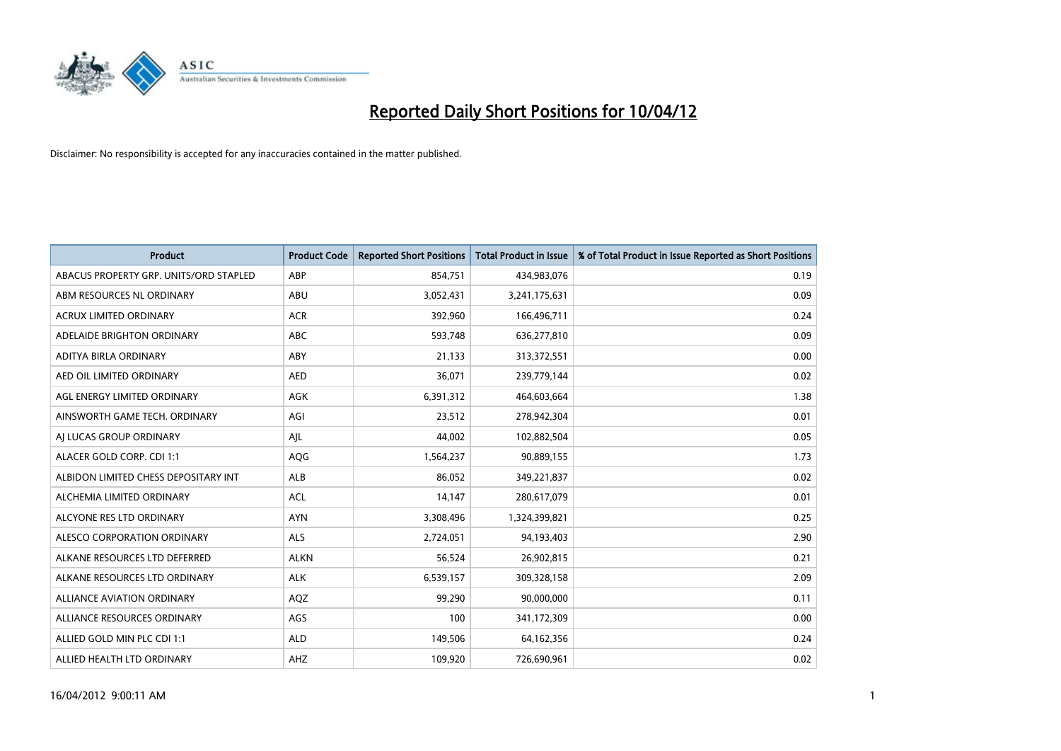

| <b>Product</b>                         | <b>Product Code</b> | <b>Reported Short Positions</b> | <b>Total Product in Issue</b> | % of Total Product in Issue Reported as Short Positions |
|----------------------------------------|---------------------|---------------------------------|-------------------------------|---------------------------------------------------------|
| ABACUS PROPERTY GRP. UNITS/ORD STAPLED | ABP                 | 854,751                         | 434,983,076                   | 0.19                                                    |
| ABM RESOURCES NL ORDINARY              | ABU                 | 3,052,431                       | 3,241,175,631                 | 0.09                                                    |
| <b>ACRUX LIMITED ORDINARY</b>          | <b>ACR</b>          | 392,960                         | 166,496,711                   | 0.24                                                    |
| ADELAIDE BRIGHTON ORDINARY             | <b>ABC</b>          | 593,748                         | 636,277,810                   | 0.09                                                    |
| ADITYA BIRLA ORDINARY                  | ABY                 | 21,133                          | 313,372,551                   | 0.00                                                    |
| AED OIL LIMITED ORDINARY               | <b>AED</b>          | 36,071                          | 239,779,144                   | 0.02                                                    |
| AGL ENERGY LIMITED ORDINARY            | AGK                 | 6,391,312                       | 464,603,664                   | 1.38                                                    |
| AINSWORTH GAME TECH. ORDINARY          | AGI                 | 23,512                          | 278,942,304                   | 0.01                                                    |
| AI LUCAS GROUP ORDINARY                | AJL                 | 44,002                          | 102,882,504                   | 0.05                                                    |
| ALACER GOLD CORP. CDI 1:1              | AQG                 | 1,564,237                       | 90,889,155                    | 1.73                                                    |
| ALBIDON LIMITED CHESS DEPOSITARY INT   | ALB                 | 86,052                          | 349,221,837                   | 0.02                                                    |
| ALCHEMIA LIMITED ORDINARY              | <b>ACL</b>          | 14,147                          | 280,617,079                   | 0.01                                                    |
| ALCYONE RES LTD ORDINARY               | <b>AYN</b>          | 3,308,496                       | 1,324,399,821                 | 0.25                                                    |
| ALESCO CORPORATION ORDINARY            | ALS                 | 2,724,051                       | 94,193,403                    | 2.90                                                    |
| ALKANE RESOURCES LTD DEFERRED          | <b>ALKN</b>         | 56,524                          | 26,902,815                    | 0.21                                                    |
| ALKANE RESOURCES LTD ORDINARY          | <b>ALK</b>          | 6,539,157                       | 309,328,158                   | 2.09                                                    |
| ALLIANCE AVIATION ORDINARY             | AQZ                 | 99,290                          | 90,000,000                    | 0.11                                                    |
| ALLIANCE RESOURCES ORDINARY            | AGS                 | 100                             | 341,172,309                   | 0.00                                                    |
| ALLIED GOLD MIN PLC CDI 1:1            | <b>ALD</b>          | 149,506                         | 64,162,356                    | 0.24                                                    |
| ALLIED HEALTH LTD ORDINARY             | AHZ                 | 109,920                         | 726,690,961                   | 0.02                                                    |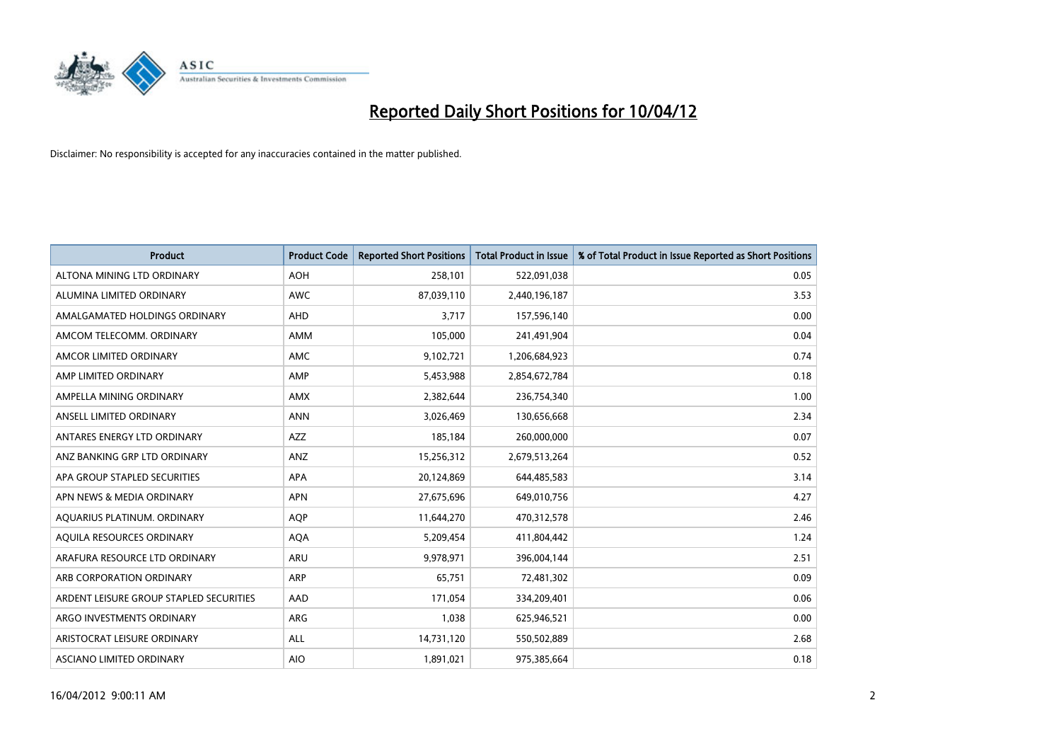

| <b>Product</b>                          | <b>Product Code</b> | <b>Reported Short Positions</b> | <b>Total Product in Issue</b> | % of Total Product in Issue Reported as Short Positions |
|-----------------------------------------|---------------------|---------------------------------|-------------------------------|---------------------------------------------------------|
| ALTONA MINING LTD ORDINARY              | <b>AOH</b>          | 258,101                         | 522,091,038                   | 0.05                                                    |
| ALUMINA LIMITED ORDINARY                | AWC                 | 87,039,110                      | 2,440,196,187                 | 3.53                                                    |
| AMALGAMATED HOLDINGS ORDINARY           | AHD                 | 3,717                           | 157,596,140                   | 0.00                                                    |
| AMCOM TELECOMM. ORDINARY                | AMM                 | 105,000                         | 241,491,904                   | 0.04                                                    |
| AMCOR LIMITED ORDINARY                  | AMC                 | 9,102,721                       | 1,206,684,923                 | 0.74                                                    |
| AMP LIMITED ORDINARY                    | AMP                 | 5,453,988                       | 2,854,672,784                 | 0.18                                                    |
| AMPELLA MINING ORDINARY                 | AMX                 | 2,382,644                       | 236,754,340                   | 1.00                                                    |
| ANSELL LIMITED ORDINARY                 | <b>ANN</b>          | 3,026,469                       | 130,656,668                   | 2.34                                                    |
| ANTARES ENERGY LTD ORDINARY             | <b>AZZ</b>          | 185,184                         | 260,000,000                   | 0.07                                                    |
| ANZ BANKING GRP LTD ORDINARY            | ANZ                 | 15,256,312                      | 2,679,513,264                 | 0.52                                                    |
| APA GROUP STAPLED SECURITIES            | APA                 | 20,124,869                      | 644,485,583                   | 3.14                                                    |
| APN NEWS & MEDIA ORDINARY               | <b>APN</b>          | 27,675,696                      | 649,010,756                   | 4.27                                                    |
| AQUARIUS PLATINUM. ORDINARY             | <b>AOP</b>          | 11,644,270                      | 470,312,578                   | 2.46                                                    |
| AQUILA RESOURCES ORDINARY               | <b>AQA</b>          | 5,209,454                       | 411,804,442                   | 1.24                                                    |
| ARAFURA RESOURCE LTD ORDINARY           | <b>ARU</b>          | 9,978,971                       | 396,004,144                   | 2.51                                                    |
| ARB CORPORATION ORDINARY                | ARP                 | 65,751                          | 72,481,302                    | 0.09                                                    |
| ARDENT LEISURE GROUP STAPLED SECURITIES | AAD                 | 171,054                         | 334,209,401                   | 0.06                                                    |
| ARGO INVESTMENTS ORDINARY               | ARG                 | 1,038                           | 625,946,521                   | 0.00                                                    |
| ARISTOCRAT LEISURE ORDINARY             | ALL                 | 14,731,120                      | 550,502,889                   | 2.68                                                    |
| ASCIANO LIMITED ORDINARY                | <b>AIO</b>          | 1,891,021                       | 975,385,664                   | 0.18                                                    |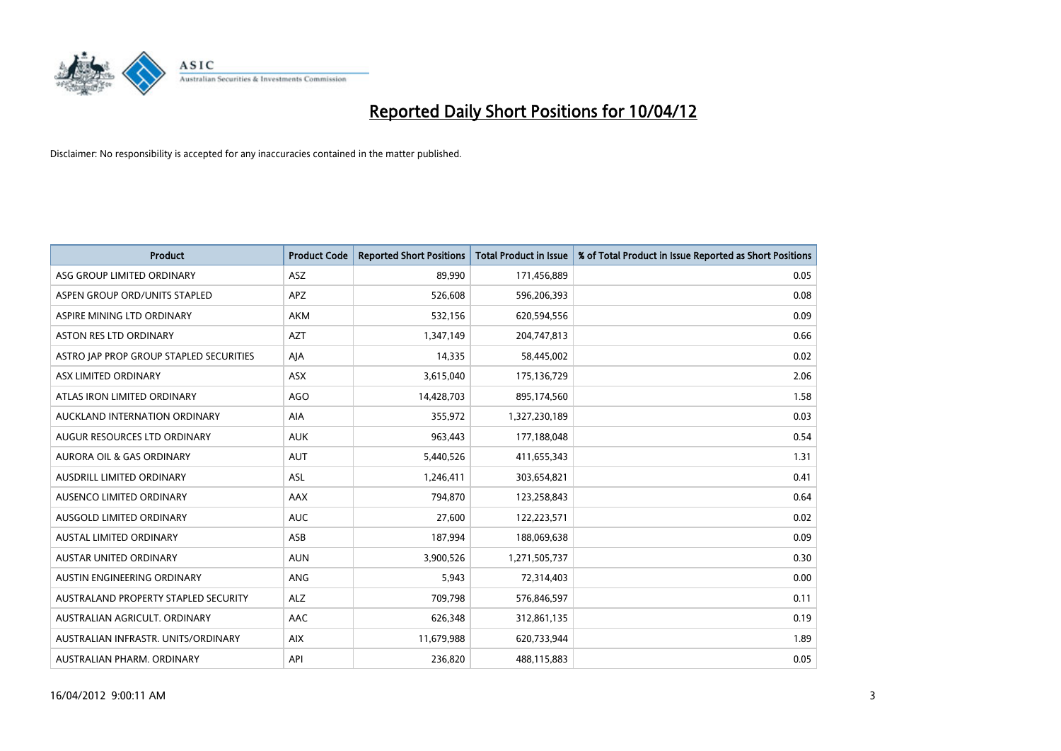

| <b>Product</b>                          | <b>Product Code</b> | <b>Reported Short Positions</b> | <b>Total Product in Issue</b> | % of Total Product in Issue Reported as Short Positions |
|-----------------------------------------|---------------------|---------------------------------|-------------------------------|---------------------------------------------------------|
| ASG GROUP LIMITED ORDINARY              | ASZ                 | 89,990                          | 171,456,889                   | 0.05                                                    |
| ASPEN GROUP ORD/UNITS STAPLED           | <b>APZ</b>          | 526,608                         | 596,206,393                   | 0.08                                                    |
| ASPIRE MINING LTD ORDINARY              | AKM                 | 532,156                         | 620,594,556                   | 0.09                                                    |
| ASTON RES LTD ORDINARY                  | <b>AZT</b>          | 1,347,149                       | 204,747,813                   | 0.66                                                    |
| ASTRO JAP PROP GROUP STAPLED SECURITIES | AJA                 | 14,335                          | 58,445,002                    | 0.02                                                    |
| ASX LIMITED ORDINARY                    | ASX                 | 3,615,040                       | 175,136,729                   | 2.06                                                    |
| ATLAS IRON LIMITED ORDINARY             | <b>AGO</b>          | 14,428,703                      | 895,174,560                   | 1.58                                                    |
| AUCKLAND INTERNATION ORDINARY           | AIA                 | 355,972                         | 1,327,230,189                 | 0.03                                                    |
| AUGUR RESOURCES LTD ORDINARY            | <b>AUK</b>          | 963,443                         | 177,188,048                   | 0.54                                                    |
| <b>AURORA OIL &amp; GAS ORDINARY</b>    | <b>AUT</b>          | 5,440,526                       | 411,655,343                   | 1.31                                                    |
| AUSDRILL LIMITED ORDINARY               | ASL                 | 1,246,411                       | 303,654,821                   | 0.41                                                    |
| AUSENCO LIMITED ORDINARY                | AAX                 | 794,870                         | 123,258,843                   | 0.64                                                    |
| AUSGOLD LIMITED ORDINARY                | <b>AUC</b>          | 27,600                          | 122,223,571                   | 0.02                                                    |
| <b>AUSTAL LIMITED ORDINARY</b>          | ASB                 | 187,994                         | 188,069,638                   | 0.09                                                    |
| <b>AUSTAR UNITED ORDINARY</b>           | <b>AUN</b>          | 3,900,526                       | 1,271,505,737                 | 0.30                                                    |
| AUSTIN ENGINEERING ORDINARY             | ANG                 | 5,943                           | 72,314,403                    | 0.00                                                    |
| AUSTRALAND PROPERTY STAPLED SECURITY    | <b>ALZ</b>          | 709,798                         | 576,846,597                   | 0.11                                                    |
| AUSTRALIAN AGRICULT. ORDINARY           | AAC                 | 626,348                         | 312,861,135                   | 0.19                                                    |
| AUSTRALIAN INFRASTR, UNITS/ORDINARY     | <b>AIX</b>          | 11,679,988                      | 620,733,944                   | 1.89                                                    |
| AUSTRALIAN PHARM. ORDINARY              | API                 | 236,820                         | 488,115,883                   | 0.05                                                    |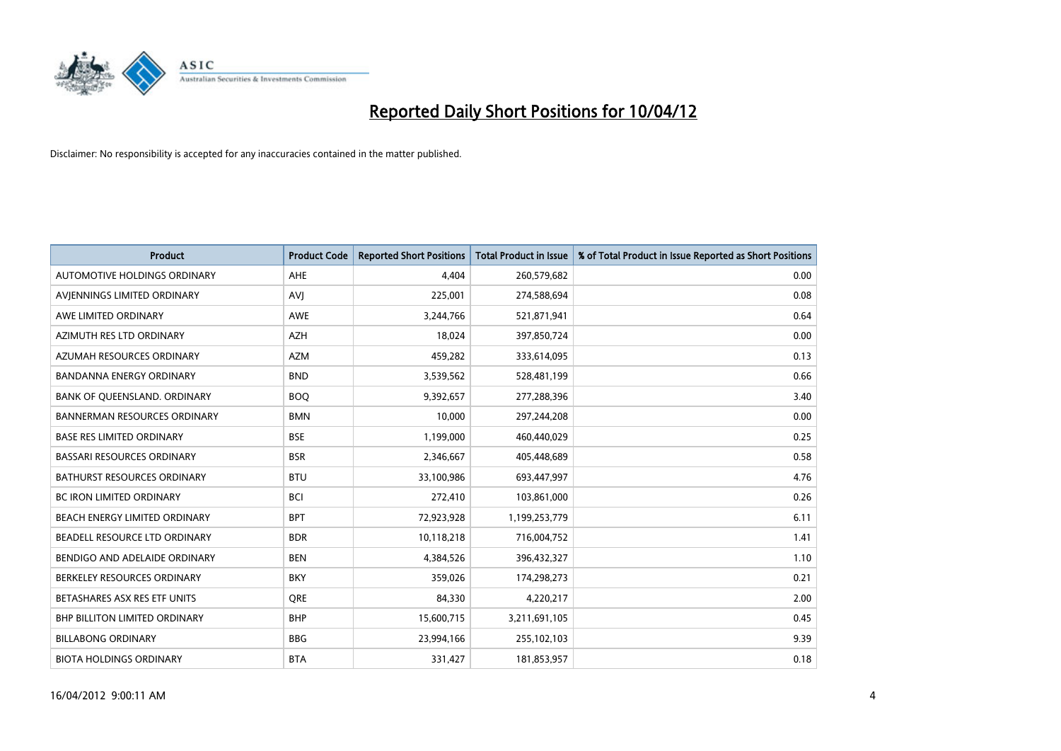

| <b>Product</b>                       | <b>Product Code</b> | <b>Reported Short Positions</b> | <b>Total Product in Issue</b> | % of Total Product in Issue Reported as Short Positions |
|--------------------------------------|---------------------|---------------------------------|-------------------------------|---------------------------------------------------------|
| AUTOMOTIVE HOLDINGS ORDINARY         | AHE                 | 4.404                           | 260,579,682                   | 0.00                                                    |
| AVIENNINGS LIMITED ORDINARY          | <b>AVI</b>          | 225,001                         | 274,588,694                   | 0.08                                                    |
| AWE LIMITED ORDINARY                 | AWE                 | 3,244,766                       | 521,871,941                   | 0.64                                                    |
| AZIMUTH RES LTD ORDINARY             | <b>AZH</b>          | 18,024                          | 397,850,724                   | 0.00                                                    |
| AZUMAH RESOURCES ORDINARY            | <b>AZM</b>          | 459,282                         | 333,614,095                   | 0.13                                                    |
| <b>BANDANNA ENERGY ORDINARY</b>      | <b>BND</b>          | 3,539,562                       | 528,481,199                   | 0.66                                                    |
| BANK OF QUEENSLAND. ORDINARY         | <b>BOO</b>          | 9,392,657                       | 277,288,396                   | 3.40                                                    |
| <b>BANNERMAN RESOURCES ORDINARY</b>  | <b>BMN</b>          | 10,000                          | 297,244,208                   | 0.00                                                    |
| <b>BASE RES LIMITED ORDINARY</b>     | <b>BSE</b>          | 1,199,000                       | 460,440,029                   | 0.25                                                    |
| <b>BASSARI RESOURCES ORDINARY</b>    | <b>BSR</b>          | 2,346,667                       | 405,448,689                   | 0.58                                                    |
| BATHURST RESOURCES ORDINARY          | <b>BTU</b>          | 33,100,986                      | 693,447,997                   | 4.76                                                    |
| <b>BC IRON LIMITED ORDINARY</b>      | <b>BCI</b>          | 272,410                         | 103,861,000                   | 0.26                                                    |
| BEACH ENERGY LIMITED ORDINARY        | <b>BPT</b>          | 72,923,928                      | 1,199,253,779                 | 6.11                                                    |
| BEADELL RESOURCE LTD ORDINARY        | <b>BDR</b>          | 10,118,218                      | 716,004,752                   | 1.41                                                    |
| BENDIGO AND ADELAIDE ORDINARY        | <b>BEN</b>          | 4,384,526                       | 396,432,327                   | 1.10                                                    |
| BERKELEY RESOURCES ORDINARY          | <b>BKY</b>          | 359,026                         | 174,298,273                   | 0.21                                                    |
| BETASHARES ASX RES ETF UNITS         | <b>ORE</b>          | 84,330                          | 4,220,217                     | 2.00                                                    |
| <b>BHP BILLITON LIMITED ORDINARY</b> | <b>BHP</b>          | 15,600,715                      | 3,211,691,105                 | 0.45                                                    |
| <b>BILLABONG ORDINARY</b>            | <b>BBG</b>          | 23,994,166                      | 255,102,103                   | 9.39                                                    |
| <b>BIOTA HOLDINGS ORDINARY</b>       | <b>BTA</b>          | 331,427                         | 181,853,957                   | 0.18                                                    |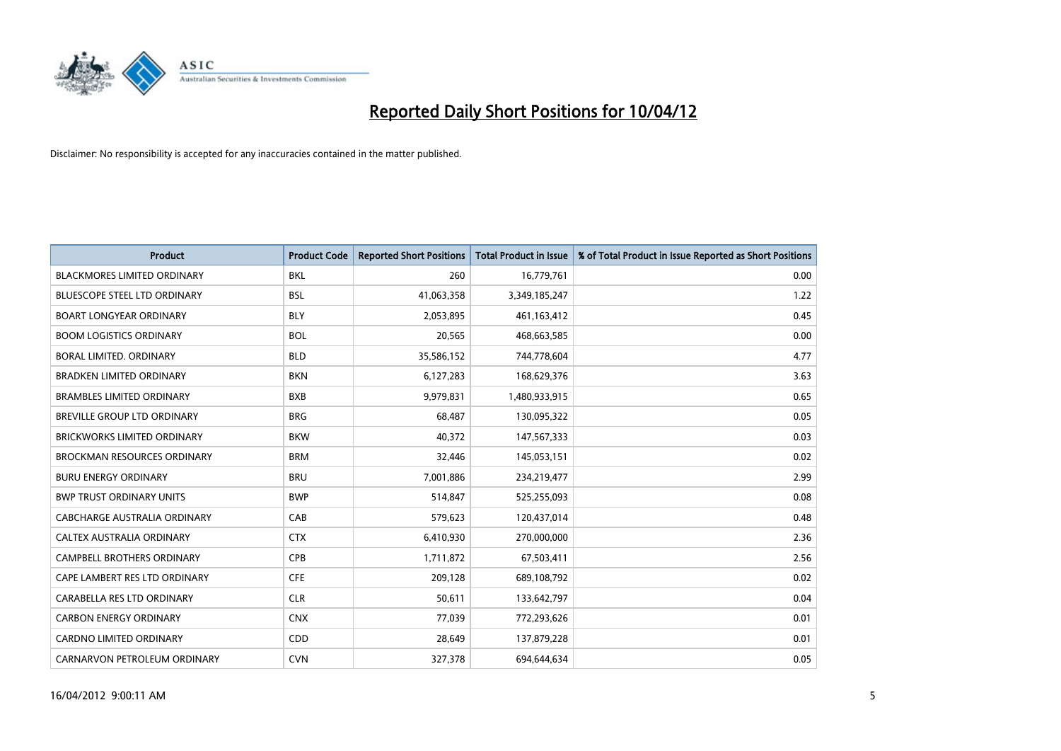

| <b>Product</b>                      | <b>Product Code</b> | <b>Reported Short Positions</b> | <b>Total Product in Issue</b> | % of Total Product in Issue Reported as Short Positions |
|-------------------------------------|---------------------|---------------------------------|-------------------------------|---------------------------------------------------------|
| <b>BLACKMORES LIMITED ORDINARY</b>  | <b>BKL</b>          | 260                             | 16,779,761                    | 0.00                                                    |
| BLUESCOPE STEEL LTD ORDINARY        | <b>BSL</b>          | 41,063,358                      | 3,349,185,247                 | 1.22                                                    |
| <b>BOART LONGYEAR ORDINARY</b>      | <b>BLY</b>          | 2,053,895                       | 461,163,412                   | 0.45                                                    |
| <b>BOOM LOGISTICS ORDINARY</b>      | <b>BOL</b>          | 20,565                          | 468,663,585                   | 0.00                                                    |
| <b>BORAL LIMITED, ORDINARY</b>      | <b>BLD</b>          | 35,586,152                      | 744,778,604                   | 4.77                                                    |
| <b>BRADKEN LIMITED ORDINARY</b>     | <b>BKN</b>          | 6,127,283                       | 168,629,376                   | 3.63                                                    |
| <b>BRAMBLES LIMITED ORDINARY</b>    | <b>BXB</b>          | 9,979,831                       | 1,480,933,915                 | 0.65                                                    |
| BREVILLE GROUP LTD ORDINARY         | <b>BRG</b>          | 68,487                          | 130,095,322                   | 0.05                                                    |
| <b>BRICKWORKS LIMITED ORDINARY</b>  | <b>BKW</b>          | 40.372                          | 147,567,333                   | 0.03                                                    |
| <b>BROCKMAN RESOURCES ORDINARY</b>  | <b>BRM</b>          | 32,446                          | 145,053,151                   | 0.02                                                    |
| <b>BURU ENERGY ORDINARY</b>         | <b>BRU</b>          | 7,001,886                       | 234,219,477                   | 2.99                                                    |
| <b>BWP TRUST ORDINARY UNITS</b>     | <b>BWP</b>          | 514,847                         | 525,255,093                   | 0.08                                                    |
| <b>CABCHARGE AUSTRALIA ORDINARY</b> | CAB                 | 579,623                         | 120,437,014                   | 0.48                                                    |
| CALTEX AUSTRALIA ORDINARY           | <b>CTX</b>          | 6,410,930                       | 270,000,000                   | 2.36                                                    |
| <b>CAMPBELL BROTHERS ORDINARY</b>   | CPB                 | 1,711,872                       | 67,503,411                    | 2.56                                                    |
| CAPE LAMBERT RES LTD ORDINARY       | <b>CFE</b>          | 209,128                         | 689,108,792                   | 0.02                                                    |
| CARABELLA RES LTD ORDINARY          | <b>CLR</b>          | 50,611                          | 133,642,797                   | 0.04                                                    |
| <b>CARBON ENERGY ORDINARY</b>       | <b>CNX</b>          | 77,039                          | 772,293,626                   | 0.01                                                    |
| <b>CARDNO LIMITED ORDINARY</b>      | CDD                 | 28,649                          | 137,879,228                   | 0.01                                                    |
| CARNARVON PETROLEUM ORDINARY        | <b>CVN</b>          | 327,378                         | 694,644,634                   | 0.05                                                    |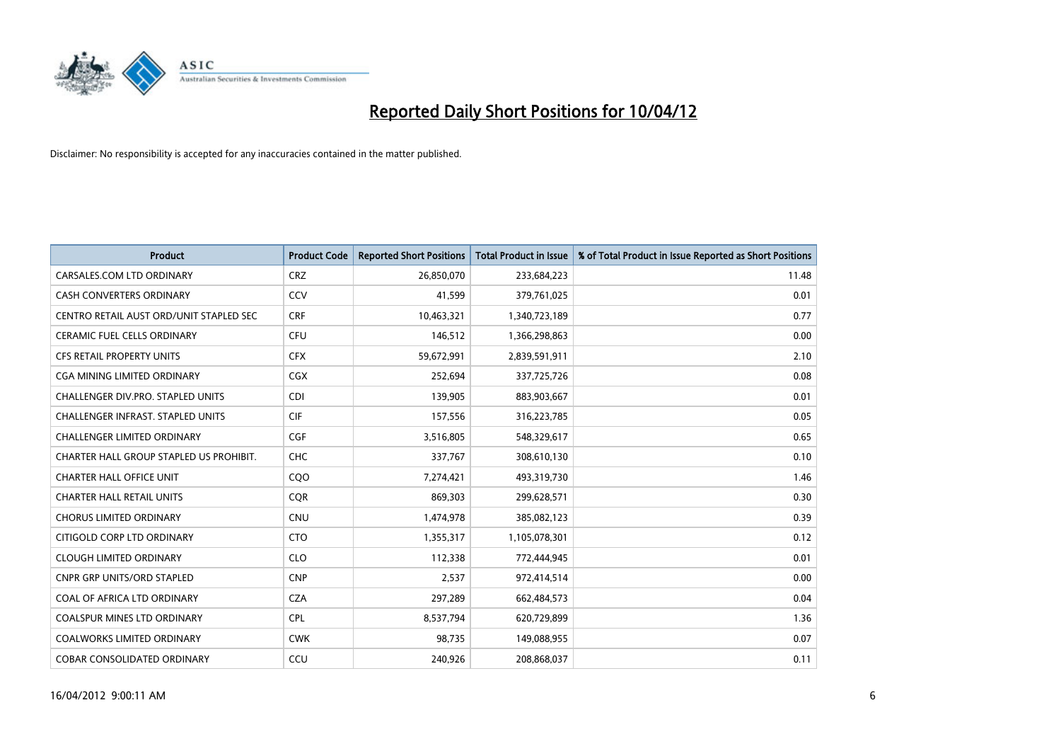

| <b>Product</b>                           | <b>Product Code</b> | <b>Reported Short Positions</b> | <b>Total Product in Issue</b> | % of Total Product in Issue Reported as Short Positions |
|------------------------------------------|---------------------|---------------------------------|-------------------------------|---------------------------------------------------------|
| CARSALES.COM LTD ORDINARY                | <b>CRZ</b>          | 26,850,070                      | 233,684,223                   | 11.48                                                   |
| CASH CONVERTERS ORDINARY                 | CCV                 | 41,599                          | 379,761,025                   | 0.01                                                    |
| CENTRO RETAIL AUST ORD/UNIT STAPLED SEC  | <b>CRF</b>          | 10,463,321                      | 1,340,723,189                 | 0.77                                                    |
| <b>CERAMIC FUEL CELLS ORDINARY</b>       | <b>CFU</b>          | 146,512                         | 1,366,298,863                 | 0.00                                                    |
| <b>CFS RETAIL PROPERTY UNITS</b>         | <b>CFX</b>          | 59,672,991                      | 2,839,591,911                 | 2.10                                                    |
| CGA MINING LIMITED ORDINARY              | <b>CGX</b>          | 252,694                         | 337,725,726                   | 0.08                                                    |
| CHALLENGER DIV.PRO. STAPLED UNITS        | <b>CDI</b>          | 139,905                         | 883,903,667                   | 0.01                                                    |
| <b>CHALLENGER INFRAST, STAPLED UNITS</b> | <b>CIF</b>          | 157,556                         | 316,223,785                   | 0.05                                                    |
| CHALLENGER LIMITED ORDINARY              | <b>CGF</b>          | 3,516,805                       | 548,329,617                   | 0.65                                                    |
| CHARTER HALL GROUP STAPLED US PROHIBIT.  | <b>CHC</b>          | 337,767                         | 308,610,130                   | 0.10                                                    |
| <b>CHARTER HALL OFFICE UNIT</b>          | CQO                 | 7,274,421                       | 493,319,730                   | 1.46                                                    |
| <b>CHARTER HALL RETAIL UNITS</b>         | <b>COR</b>          | 869,303                         | 299,628,571                   | 0.30                                                    |
| <b>CHORUS LIMITED ORDINARY</b>           | <b>CNU</b>          | 1,474,978                       | 385,082,123                   | 0.39                                                    |
| CITIGOLD CORP LTD ORDINARY               | <b>CTO</b>          | 1,355,317                       | 1,105,078,301                 | 0.12                                                    |
| <b>CLOUGH LIMITED ORDINARY</b>           | <b>CLO</b>          | 112,338                         | 772,444,945                   | 0.01                                                    |
| <b>CNPR GRP UNITS/ORD STAPLED</b>        | <b>CNP</b>          | 2,537                           | 972,414,514                   | 0.00                                                    |
| COAL OF AFRICA LTD ORDINARY              | <b>CZA</b>          | 297,289                         | 662,484,573                   | 0.04                                                    |
| COALSPUR MINES LTD ORDINARY              | <b>CPL</b>          | 8,537,794                       | 620,729,899                   | 1.36                                                    |
| <b>COALWORKS LIMITED ORDINARY</b>        | <b>CWK</b>          | 98,735                          | 149,088,955                   | 0.07                                                    |
| <b>COBAR CONSOLIDATED ORDINARY</b>       | CCU                 | 240,926                         | 208,868,037                   | 0.11                                                    |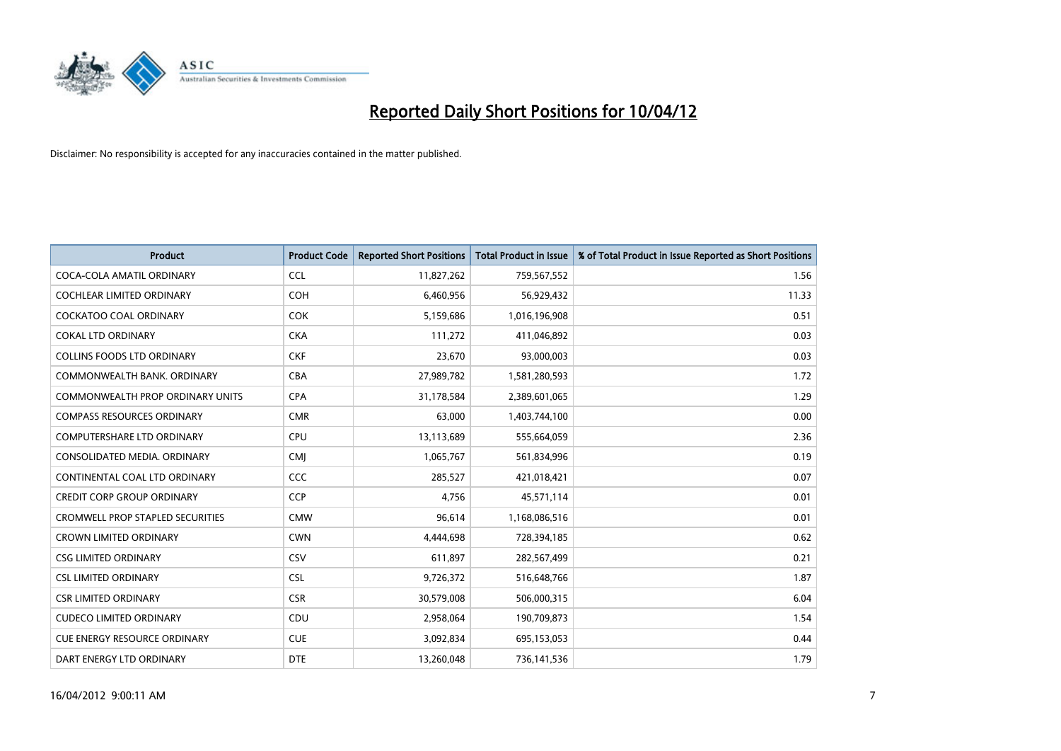

| <b>Product</b>                          | <b>Product Code</b> | <b>Reported Short Positions</b> | <b>Total Product in Issue</b> | % of Total Product in Issue Reported as Short Positions |
|-----------------------------------------|---------------------|---------------------------------|-------------------------------|---------------------------------------------------------|
| COCA-COLA AMATIL ORDINARY               | <b>CCL</b>          | 11,827,262                      | 759,567,552                   | 1.56                                                    |
| <b>COCHLEAR LIMITED ORDINARY</b>        | <b>COH</b>          | 6,460,956                       | 56,929,432                    | 11.33                                                   |
| <b>COCKATOO COAL ORDINARY</b>           | <b>COK</b>          | 5,159,686                       | 1,016,196,908                 | 0.51                                                    |
| <b>COKAL LTD ORDINARY</b>               | <b>CKA</b>          | 111,272                         | 411,046,892                   | 0.03                                                    |
| <b>COLLINS FOODS LTD ORDINARY</b>       | <b>CKF</b>          | 23,670                          | 93,000,003                    | 0.03                                                    |
| COMMONWEALTH BANK, ORDINARY             | <b>CBA</b>          | 27,989,782                      | 1,581,280,593                 | 1.72                                                    |
| <b>COMMONWEALTH PROP ORDINARY UNITS</b> | <b>CPA</b>          | 31,178,584                      | 2,389,601,065                 | 1.29                                                    |
| <b>COMPASS RESOURCES ORDINARY</b>       | <b>CMR</b>          | 63.000                          | 1,403,744,100                 | 0.00                                                    |
| <b>COMPUTERSHARE LTD ORDINARY</b>       | <b>CPU</b>          | 13,113,689                      | 555,664,059                   | 2.36                                                    |
| CONSOLIDATED MEDIA. ORDINARY            | <b>CMI</b>          | 1,065,767                       | 561,834,996                   | 0.19                                                    |
| CONTINENTAL COAL LTD ORDINARY           | <b>CCC</b>          | 285,527                         | 421,018,421                   | 0.07                                                    |
| <b>CREDIT CORP GROUP ORDINARY</b>       | <b>CCP</b>          | 4,756                           | 45,571,114                    | 0.01                                                    |
| <b>CROMWELL PROP STAPLED SECURITIES</b> | <b>CMW</b>          | 96,614                          | 1,168,086,516                 | 0.01                                                    |
| <b>CROWN LIMITED ORDINARY</b>           | <b>CWN</b>          | 4,444,698                       | 728,394,185                   | 0.62                                                    |
| <b>CSG LIMITED ORDINARY</b>             | CSV                 | 611,897                         | 282,567,499                   | 0.21                                                    |
| <b>CSL LIMITED ORDINARY</b>             | <b>CSL</b>          | 9,726,372                       | 516,648,766                   | 1.87                                                    |
| <b>CSR LIMITED ORDINARY</b>             | <b>CSR</b>          | 30,579,008                      | 506,000,315                   | 6.04                                                    |
| <b>CUDECO LIMITED ORDINARY</b>          | CDU                 | 2,958,064                       | 190,709,873                   | 1.54                                                    |
| <b>CUE ENERGY RESOURCE ORDINARY</b>     | <b>CUE</b>          | 3,092,834                       | 695,153,053                   | 0.44                                                    |
| DART ENERGY LTD ORDINARY                | <b>DTE</b>          | 13,260,048                      | 736,141,536                   | 1.79                                                    |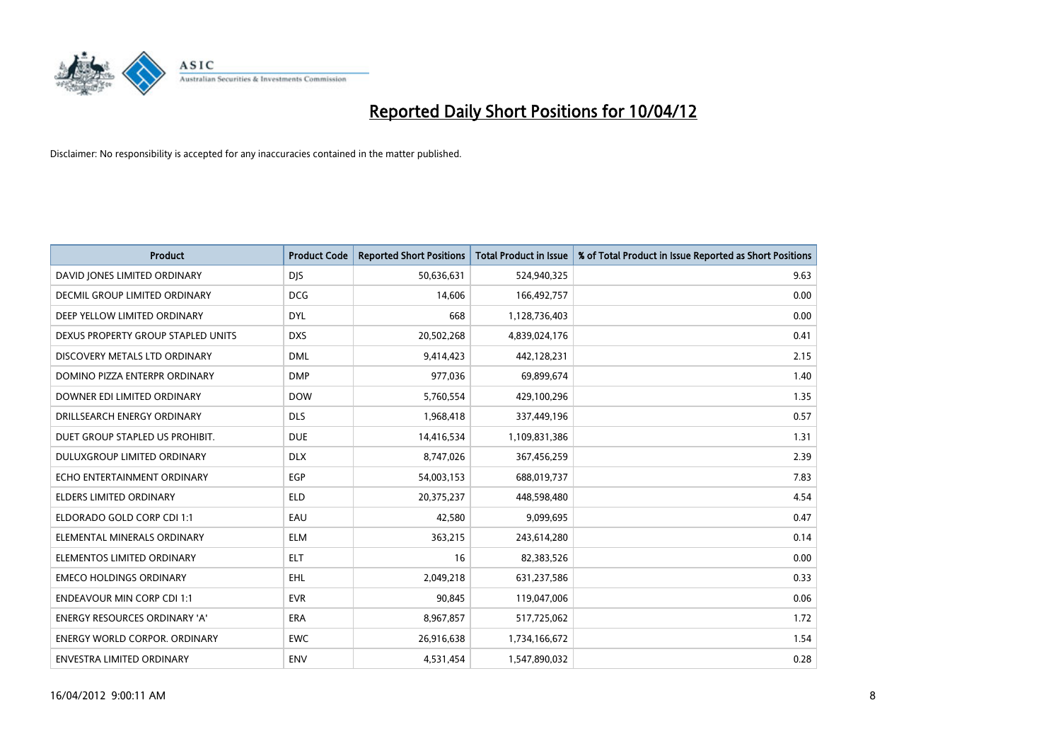

| <b>Product</b>                       | <b>Product Code</b> | <b>Reported Short Positions</b> | <b>Total Product in Issue</b> | % of Total Product in Issue Reported as Short Positions |
|--------------------------------------|---------------------|---------------------------------|-------------------------------|---------------------------------------------------------|
| DAVID JONES LIMITED ORDINARY         | <b>DJS</b>          | 50,636,631                      | 524,940,325                   | 9.63                                                    |
| DECMIL GROUP LIMITED ORDINARY        | <b>DCG</b>          | 14,606                          | 166,492,757                   | 0.00                                                    |
| DEEP YELLOW LIMITED ORDINARY         | <b>DYL</b>          | 668                             | 1,128,736,403                 | 0.00                                                    |
| DEXUS PROPERTY GROUP STAPLED UNITS   | <b>DXS</b>          | 20,502,268                      | 4,839,024,176                 | 0.41                                                    |
| DISCOVERY METALS LTD ORDINARY        | <b>DML</b>          | 9,414,423                       | 442,128,231                   | 2.15                                                    |
| DOMINO PIZZA ENTERPR ORDINARY        | <b>DMP</b>          | 977,036                         | 69,899,674                    | 1.40                                                    |
| DOWNER EDI LIMITED ORDINARY          | <b>DOW</b>          | 5,760,554                       | 429,100,296                   | 1.35                                                    |
| DRILLSEARCH ENERGY ORDINARY          | <b>DLS</b>          | 1,968,418                       | 337,449,196                   | 0.57                                                    |
| DUET GROUP STAPLED US PROHIBIT.      | <b>DUE</b>          | 14,416,534                      | 1,109,831,386                 | 1.31                                                    |
| DULUXGROUP LIMITED ORDINARY          | <b>DLX</b>          | 8,747,026                       | 367,456,259                   | 2.39                                                    |
| ECHO ENTERTAINMENT ORDINARY          | <b>EGP</b>          | 54,003,153                      | 688,019,737                   | 7.83                                                    |
| <b>ELDERS LIMITED ORDINARY</b>       | ELD                 | 20,375,237                      | 448,598,480                   | 4.54                                                    |
| ELDORADO GOLD CORP CDI 1:1           | EAU                 | 42,580                          | 9,099,695                     | 0.47                                                    |
| ELEMENTAL MINERALS ORDINARY          | <b>ELM</b>          | 363,215                         | 243,614,280                   | 0.14                                                    |
| ELEMENTOS LIMITED ORDINARY           | <b>ELT</b>          | 16                              | 82,383,526                    | 0.00                                                    |
| <b>EMECO HOLDINGS ORDINARY</b>       | <b>EHL</b>          | 2,049,218                       | 631,237,586                   | 0.33                                                    |
| <b>ENDEAVOUR MIN CORP CDI 1:1</b>    | <b>EVR</b>          | 90,845                          | 119,047,006                   | 0.06                                                    |
| ENERGY RESOURCES ORDINARY 'A'        | <b>ERA</b>          | 8,967,857                       | 517,725,062                   | 1.72                                                    |
| <b>ENERGY WORLD CORPOR, ORDINARY</b> | <b>EWC</b>          | 26,916,638                      | 1,734,166,672                 | 1.54                                                    |
| ENVESTRA LIMITED ORDINARY            | <b>ENV</b>          | 4,531,454                       | 1,547,890,032                 | 0.28                                                    |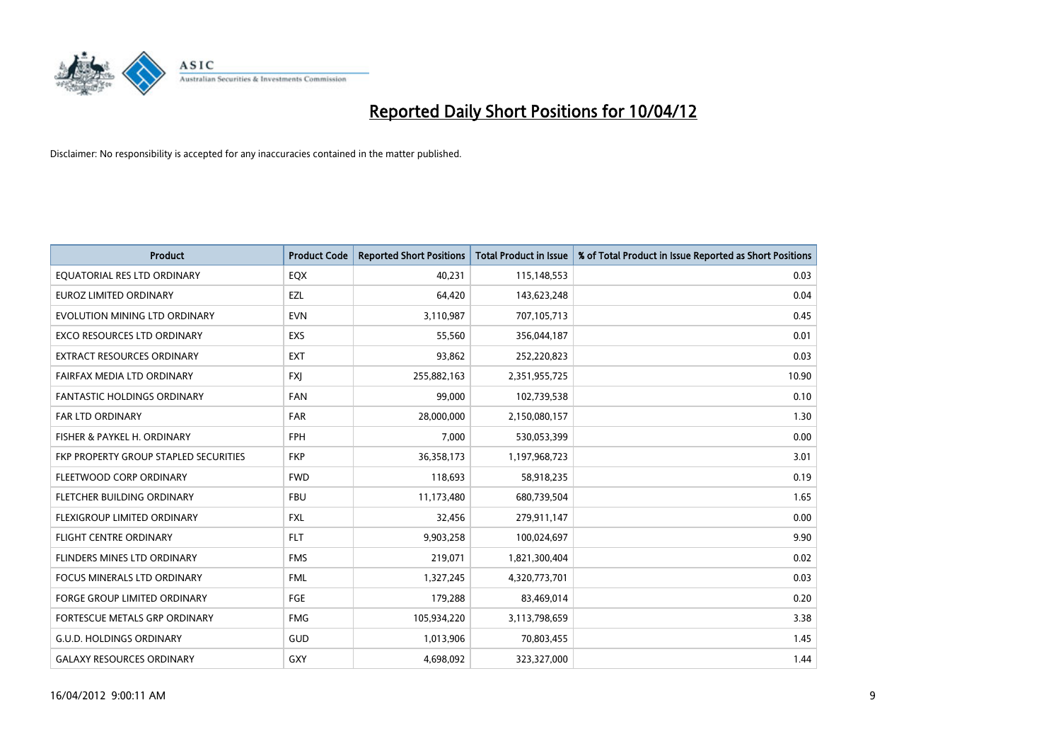

| <b>Product</b>                        | <b>Product Code</b> | <b>Reported Short Positions</b> | <b>Total Product in Issue</b> | % of Total Product in Issue Reported as Short Positions |
|---------------------------------------|---------------------|---------------------------------|-------------------------------|---------------------------------------------------------|
| EQUATORIAL RES LTD ORDINARY           | EQX                 | 40,231                          | 115,148,553                   | 0.03                                                    |
| <b>EUROZ LIMITED ORDINARY</b>         | EZL                 | 64,420                          | 143,623,248                   | 0.04                                                    |
| EVOLUTION MINING LTD ORDINARY         | <b>EVN</b>          | 3,110,987                       | 707,105,713                   | 0.45                                                    |
| EXCO RESOURCES LTD ORDINARY           | EXS                 | 55,560                          | 356,044,187                   | 0.01                                                    |
| <b>EXTRACT RESOURCES ORDINARY</b>     | <b>EXT</b>          | 93,862                          | 252,220,823                   | 0.03                                                    |
| FAIRFAX MEDIA LTD ORDINARY            | <b>FXI</b>          | 255,882,163                     | 2,351,955,725                 | 10.90                                                   |
| <b>FANTASTIC HOLDINGS ORDINARY</b>    | <b>FAN</b>          | 99,000                          | 102,739,538                   | 0.10                                                    |
| FAR LTD ORDINARY                      | <b>FAR</b>          | 28,000,000                      | 2,150,080,157                 | 1.30                                                    |
| FISHER & PAYKEL H. ORDINARY           | <b>FPH</b>          | 7,000                           | 530,053,399                   | 0.00                                                    |
| FKP PROPERTY GROUP STAPLED SECURITIES | <b>FKP</b>          | 36,358,173                      | 1,197,968,723                 | 3.01                                                    |
| FLEETWOOD CORP ORDINARY               | <b>FWD</b>          | 118,693                         | 58,918,235                    | 0.19                                                    |
| FLETCHER BUILDING ORDINARY            | <b>FBU</b>          | 11,173,480                      | 680,739,504                   | 1.65                                                    |
| FLEXIGROUP LIMITED ORDINARY           | FXL                 | 32,456                          | 279,911,147                   | 0.00                                                    |
| FLIGHT CENTRE ORDINARY                | <b>FLT</b>          | 9,903,258                       | 100,024,697                   | 9.90                                                    |
| FLINDERS MINES LTD ORDINARY           | <b>FMS</b>          | 219,071                         | 1,821,300,404                 | 0.02                                                    |
| <b>FOCUS MINERALS LTD ORDINARY</b>    | <b>FML</b>          | 1,327,245                       | 4,320,773,701                 | 0.03                                                    |
| <b>FORGE GROUP LIMITED ORDINARY</b>   | FGE                 | 179,288                         | 83,469,014                    | 0.20                                                    |
| FORTESCUE METALS GRP ORDINARY         | <b>FMG</b>          | 105,934,220                     | 3,113,798,659                 | 3.38                                                    |
| <b>G.U.D. HOLDINGS ORDINARY</b>       | <b>GUD</b>          | 1,013,906                       | 70,803,455                    | 1.45                                                    |
| <b>GALAXY RESOURCES ORDINARY</b>      | GXY                 | 4,698,092                       | 323,327,000                   | 1.44                                                    |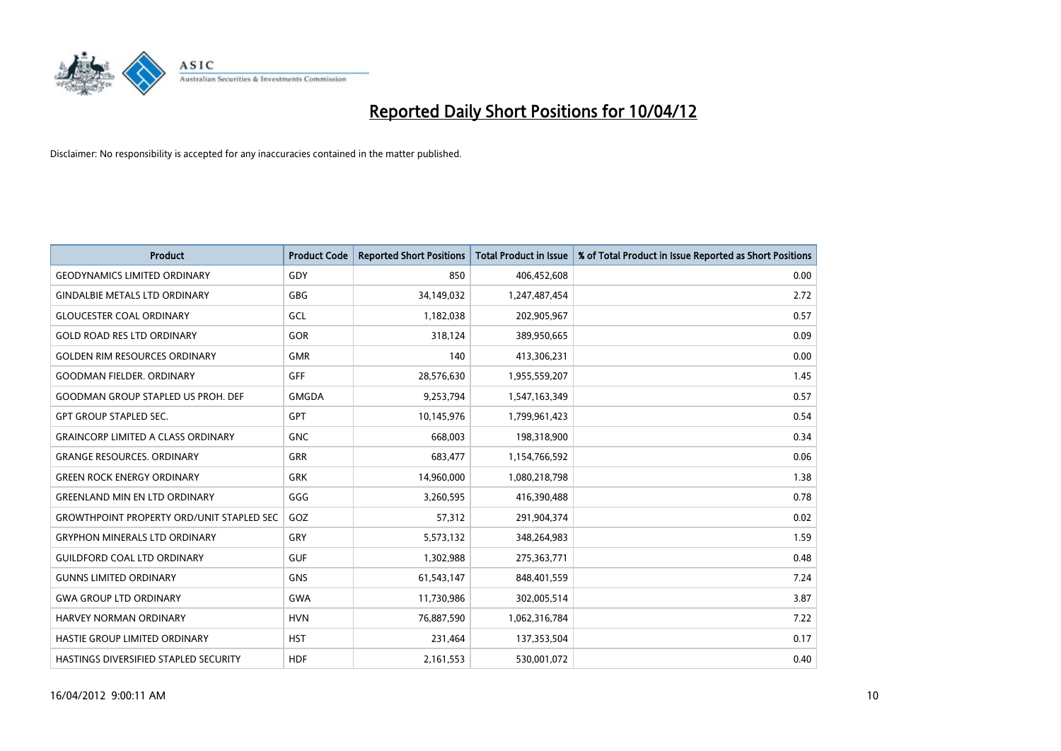

| <b>Product</b>                                   | <b>Product Code</b> | <b>Reported Short Positions</b> | <b>Total Product in Issue</b> | % of Total Product in Issue Reported as Short Positions |
|--------------------------------------------------|---------------------|---------------------------------|-------------------------------|---------------------------------------------------------|
| <b>GEODYNAMICS LIMITED ORDINARY</b>              | GDY                 | 850                             | 406,452,608                   | 0.00                                                    |
| <b>GINDALBIE METALS LTD ORDINARY</b>             | <b>GBG</b>          | 34,149,032                      | 1,247,487,454                 | 2.72                                                    |
| <b>GLOUCESTER COAL ORDINARY</b>                  | GCL                 | 1,182,038                       | 202,905,967                   | 0.57                                                    |
| <b>GOLD ROAD RES LTD ORDINARY</b>                | GOR                 | 318,124                         | 389,950,665                   | 0.09                                                    |
| <b>GOLDEN RIM RESOURCES ORDINARY</b>             | <b>GMR</b>          | 140                             | 413,306,231                   | 0.00                                                    |
| <b>GOODMAN FIELDER, ORDINARY</b>                 | GFF                 | 28,576,630                      | 1,955,559,207                 | 1.45                                                    |
| GOODMAN GROUP STAPLED US PROH. DEF               | <b>GMGDA</b>        | 9,253,794                       | 1,547,163,349                 | 0.57                                                    |
| <b>GPT GROUP STAPLED SEC.</b>                    | GPT                 | 10,145,976                      | 1,799,961,423                 | 0.54                                                    |
| <b>GRAINCORP LIMITED A CLASS ORDINARY</b>        | <b>GNC</b>          | 668,003                         | 198,318,900                   | 0.34                                                    |
| <b>GRANGE RESOURCES, ORDINARY</b>                | <b>GRR</b>          | 683,477                         | 1,154,766,592                 | 0.06                                                    |
| <b>GREEN ROCK ENERGY ORDINARY</b>                | <b>GRK</b>          | 14,960,000                      | 1,080,218,798                 | 1.38                                                    |
| <b>GREENLAND MIN EN LTD ORDINARY</b>             | GGG                 | 3,260,595                       | 416,390,488                   | 0.78                                                    |
| <b>GROWTHPOINT PROPERTY ORD/UNIT STAPLED SEC</b> | GOZ                 | 57,312                          | 291,904,374                   | 0.02                                                    |
| <b>GRYPHON MINERALS LTD ORDINARY</b>             | GRY                 | 5,573,132                       | 348,264,983                   | 1.59                                                    |
| <b>GUILDFORD COAL LTD ORDINARY</b>               | <b>GUF</b>          | 1,302,988                       | 275,363,771                   | 0.48                                                    |
| <b>GUNNS LIMITED ORDINARY</b>                    | <b>GNS</b>          | 61,543,147                      | 848,401,559                   | 7.24                                                    |
| <b>GWA GROUP LTD ORDINARY</b>                    | <b>GWA</b>          | 11,730,986                      | 302,005,514                   | 3.87                                                    |
| <b>HARVEY NORMAN ORDINARY</b>                    | <b>HVN</b>          | 76,887,590                      | 1,062,316,784                 | 7.22                                                    |
| HASTIE GROUP LIMITED ORDINARY                    | <b>HST</b>          | 231,464                         | 137,353,504                   | 0.17                                                    |
| HASTINGS DIVERSIFIED STAPLED SECURITY            | <b>HDF</b>          | 2,161,553                       | 530,001,072                   | 0.40                                                    |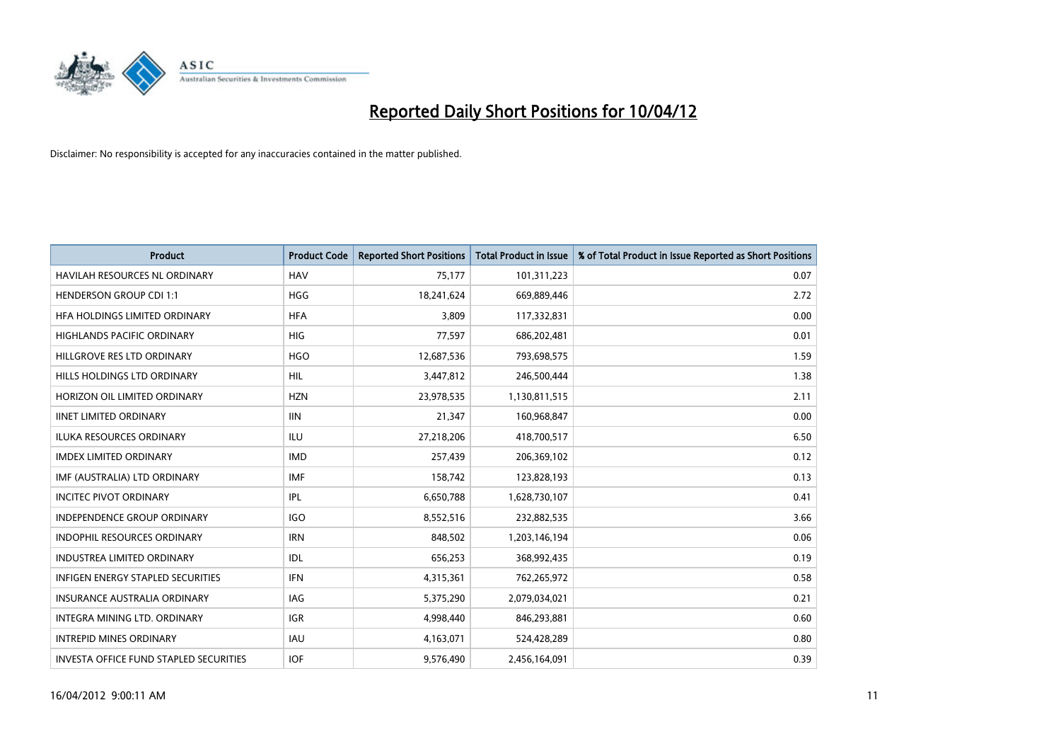

| <b>Product</b>                           | <b>Product Code</b> | <b>Reported Short Positions</b> | <b>Total Product in Issue</b> | % of Total Product in Issue Reported as Short Positions |
|------------------------------------------|---------------------|---------------------------------|-------------------------------|---------------------------------------------------------|
| <b>HAVILAH RESOURCES NL ORDINARY</b>     | <b>HAV</b>          | 75,177                          | 101,311,223                   | 0.07                                                    |
| <b>HENDERSON GROUP CDI 1:1</b>           | <b>HGG</b>          | 18,241,624                      | 669,889,446                   | 2.72                                                    |
| HFA HOLDINGS LIMITED ORDINARY            | <b>HFA</b>          | 3,809                           | 117,332,831                   | 0.00                                                    |
| <b>HIGHLANDS PACIFIC ORDINARY</b>        | <b>HIG</b>          | 77,597                          | 686,202,481                   | 0.01                                                    |
| HILLGROVE RES LTD ORDINARY               | <b>HGO</b>          | 12,687,536                      | 793,698,575                   | 1.59                                                    |
| HILLS HOLDINGS LTD ORDINARY              | <b>HIL</b>          | 3,447,812                       | 246,500,444                   | 1.38                                                    |
| HORIZON OIL LIMITED ORDINARY             | <b>HZN</b>          | 23,978,535                      | 1,130,811,515                 | 2.11                                                    |
| <b>IINET LIMITED ORDINARY</b>            | <b>IIN</b>          | 21,347                          | 160,968,847                   | 0.00                                                    |
| ILUKA RESOURCES ORDINARY                 | ILU                 | 27,218,206                      | 418,700,517                   | 6.50                                                    |
| <b>IMDEX LIMITED ORDINARY</b>            | <b>IMD</b>          | 257,439                         | 206,369,102                   | 0.12                                                    |
| IMF (AUSTRALIA) LTD ORDINARY             | <b>IMF</b>          | 158,742                         | 123,828,193                   | 0.13                                                    |
| <b>INCITEC PIVOT ORDINARY</b>            | IPL                 | 6,650,788                       | 1,628,730,107                 | 0.41                                                    |
| <b>INDEPENDENCE GROUP ORDINARY</b>       | <b>IGO</b>          | 8,552,516                       | 232,882,535                   | 3.66                                                    |
| <b>INDOPHIL RESOURCES ORDINARY</b>       | <b>IRN</b>          | 848,502                         | 1,203,146,194                 | 0.06                                                    |
| <b>INDUSTREA LIMITED ORDINARY</b>        | <b>IDL</b>          | 656,253                         | 368,992,435                   | 0.19                                                    |
| <b>INFIGEN ENERGY STAPLED SECURITIES</b> | <b>IFN</b>          | 4,315,361                       | 762,265,972                   | 0.58                                                    |
| <b>INSURANCE AUSTRALIA ORDINARY</b>      | IAG                 | 5,375,290                       | 2,079,034,021                 | 0.21                                                    |
| INTEGRA MINING LTD. ORDINARY             | <b>IGR</b>          | 4,998,440                       | 846,293,881                   | 0.60                                                    |
| <b>INTREPID MINES ORDINARY</b>           | <b>IAU</b>          | 4,163,071                       | 524,428,289                   | 0.80                                                    |
| INVESTA OFFICE FUND STAPLED SECURITIES   | <b>IOF</b>          | 9,576,490                       | 2,456,164,091                 | 0.39                                                    |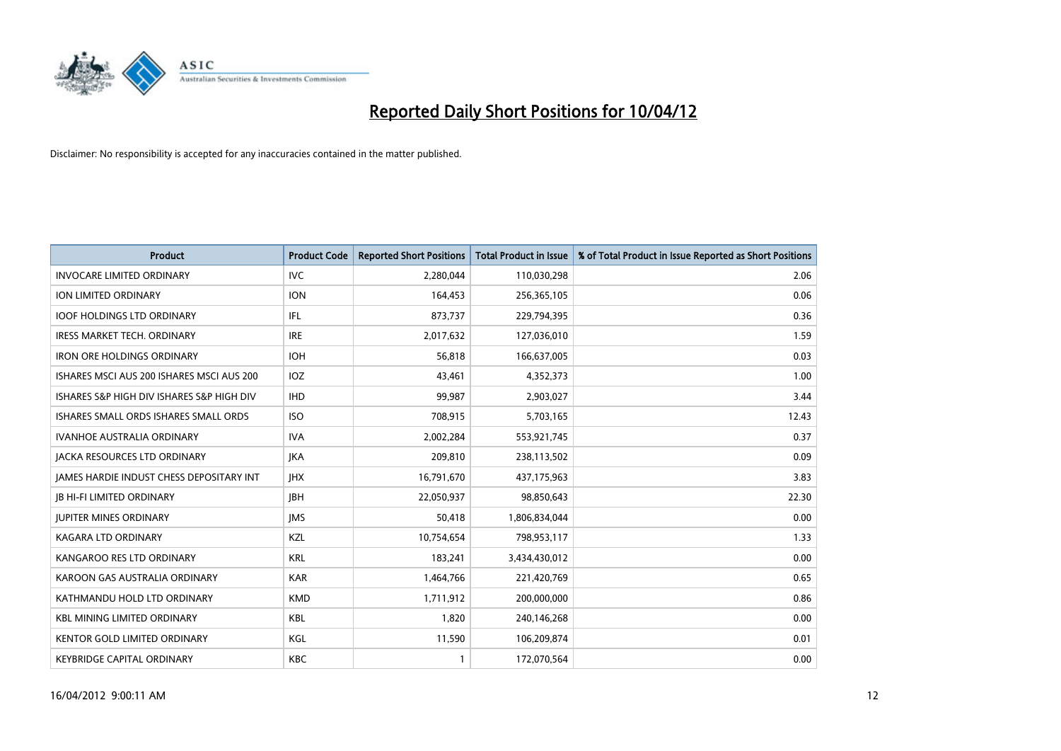

| <b>Product</b>                            | <b>Product Code</b> | <b>Reported Short Positions</b> | <b>Total Product in Issue</b> | % of Total Product in Issue Reported as Short Positions |
|-------------------------------------------|---------------------|---------------------------------|-------------------------------|---------------------------------------------------------|
| <b>INVOCARE LIMITED ORDINARY</b>          | IVC                 | 2,280,044                       | 110,030,298                   | 2.06                                                    |
| <b>ION LIMITED ORDINARY</b>               | <b>ION</b>          | 164,453                         | 256,365,105                   | 0.06                                                    |
| <b>IOOF HOLDINGS LTD ORDINARY</b>         | IFL                 | 873,737                         | 229,794,395                   | 0.36                                                    |
| <b>IRESS MARKET TECH. ORDINARY</b>        | <b>IRE</b>          | 2,017,632                       | 127,036,010                   | 1.59                                                    |
| <b>IRON ORE HOLDINGS ORDINARY</b>         | <b>IOH</b>          | 56,818                          | 166,637,005                   | 0.03                                                    |
| ISHARES MSCI AUS 200 ISHARES MSCI AUS 200 | IOZ                 | 43,461                          | 4,352,373                     | 1.00                                                    |
| ISHARES S&P HIGH DIV ISHARES S&P HIGH DIV | <b>IHD</b>          | 99.987                          | 2,903,027                     | 3.44                                                    |
| ISHARES SMALL ORDS ISHARES SMALL ORDS     | <b>ISO</b>          | 708,915                         | 5,703,165                     | 12.43                                                   |
| <b>IVANHOE AUSTRALIA ORDINARY</b>         | <b>IVA</b>          | 2,002,284                       | 553,921,745                   | 0.37                                                    |
| <b>JACKA RESOURCES LTD ORDINARY</b>       | <b>JKA</b>          | 209,810                         | 238,113,502                   | 0.09                                                    |
| JAMES HARDIE INDUST CHESS DEPOSITARY INT  | <b>IHX</b>          | 16,791,670                      | 437,175,963                   | 3.83                                                    |
| <b>JB HI-FI LIMITED ORDINARY</b>          | <b>IBH</b>          | 22,050,937                      | 98,850,643                    | 22.30                                                   |
| <b>JUPITER MINES ORDINARY</b>             | <b>IMS</b>          | 50,418                          | 1,806,834,044                 | 0.00                                                    |
| <b>KAGARA LTD ORDINARY</b>                | KZL                 | 10,754,654                      | 798,953,117                   | 1.33                                                    |
| KANGAROO RES LTD ORDINARY                 | <b>KRL</b>          | 183,241                         | 3,434,430,012                 | 0.00                                                    |
| KAROON GAS AUSTRALIA ORDINARY             | <b>KAR</b>          | 1,464,766                       | 221,420,769                   | 0.65                                                    |
| KATHMANDU HOLD LTD ORDINARY               | <b>KMD</b>          | 1,711,912                       | 200,000,000                   | 0.86                                                    |
| <b>KBL MINING LIMITED ORDINARY</b>        | <b>KBL</b>          | 1.820                           | 240,146,268                   | 0.00                                                    |
| <b>KENTOR GOLD LIMITED ORDINARY</b>       | KGL                 | 11,590                          | 106,209,874                   | 0.01                                                    |
| KEYBRIDGE CAPITAL ORDINARY                | <b>KBC</b>          | 1                               | 172,070,564                   | 0.00                                                    |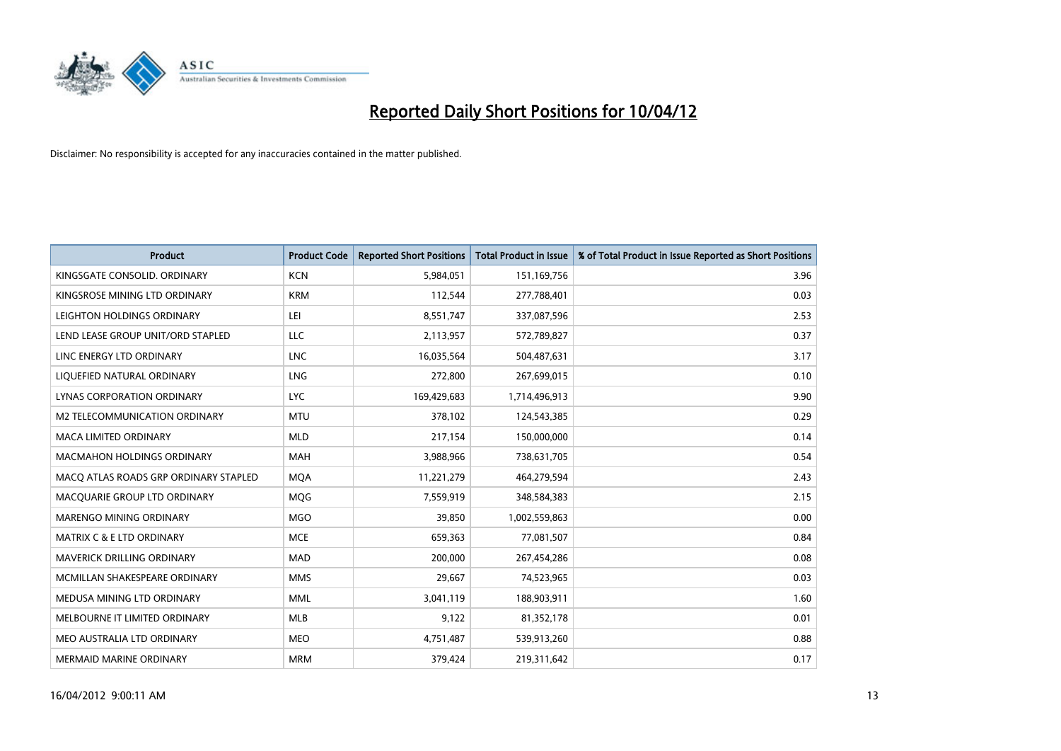

| <b>Product</b>                        | <b>Product Code</b> | <b>Reported Short Positions</b> | <b>Total Product in Issue</b> | % of Total Product in Issue Reported as Short Positions |
|---------------------------------------|---------------------|---------------------------------|-------------------------------|---------------------------------------------------------|
| KINGSGATE CONSOLID, ORDINARY          | <b>KCN</b>          | 5,984,051                       | 151,169,756                   | 3.96                                                    |
| KINGSROSE MINING LTD ORDINARY         | <b>KRM</b>          | 112,544                         | 277,788,401                   | 0.03                                                    |
| LEIGHTON HOLDINGS ORDINARY            | LEI                 | 8,551,747                       | 337,087,596                   | 2.53                                                    |
| LEND LEASE GROUP UNIT/ORD STAPLED     | <b>LLC</b>          | 2,113,957                       | 572,789,827                   | 0.37                                                    |
| LINC ENERGY LTD ORDINARY              | <b>LNC</b>          | 16,035,564                      | 504,487,631                   | 3.17                                                    |
| LIQUEFIED NATURAL ORDINARY            | <b>LNG</b>          | 272,800                         | 267,699,015                   | 0.10                                                    |
| LYNAS CORPORATION ORDINARY            | <b>LYC</b>          | 169,429,683                     | 1,714,496,913                 | 9.90                                                    |
| M2 TELECOMMUNICATION ORDINARY         | <b>MTU</b>          | 378,102                         | 124,543,385                   | 0.29                                                    |
| <b>MACA LIMITED ORDINARY</b>          | <b>MLD</b>          | 217,154                         | 150,000,000                   | 0.14                                                    |
| <b>MACMAHON HOLDINGS ORDINARY</b>     | <b>MAH</b>          | 3,988,966                       | 738,631,705                   | 0.54                                                    |
| MACQ ATLAS ROADS GRP ORDINARY STAPLED | <b>MQA</b>          | 11,221,279                      | 464,279,594                   | 2.43                                                    |
| MACQUARIE GROUP LTD ORDINARY          | <b>MOG</b>          | 7,559,919                       | 348,584,383                   | 2.15                                                    |
| MARENGO MINING ORDINARY               | <b>MGO</b>          | 39,850                          | 1,002,559,863                 | 0.00                                                    |
| <b>MATRIX C &amp; E LTD ORDINARY</b>  | <b>MCE</b>          | 659,363                         | 77,081,507                    | 0.84                                                    |
| <b>MAVERICK DRILLING ORDINARY</b>     | <b>MAD</b>          | 200,000                         | 267,454,286                   | 0.08                                                    |
| MCMILLAN SHAKESPEARE ORDINARY         | <b>MMS</b>          | 29,667                          | 74,523,965                    | 0.03                                                    |
| MEDUSA MINING LTD ORDINARY            | <b>MML</b>          | 3,041,119                       | 188,903,911                   | 1.60                                                    |
| MELBOURNE IT LIMITED ORDINARY         | <b>MLB</b>          | 9,122                           | 81,352,178                    | 0.01                                                    |
| MEO AUSTRALIA LTD ORDINARY            | <b>MEO</b>          | 4,751,487                       | 539,913,260                   | 0.88                                                    |
| <b>MERMAID MARINE ORDINARY</b>        | <b>MRM</b>          | 379,424                         | 219,311,642                   | 0.17                                                    |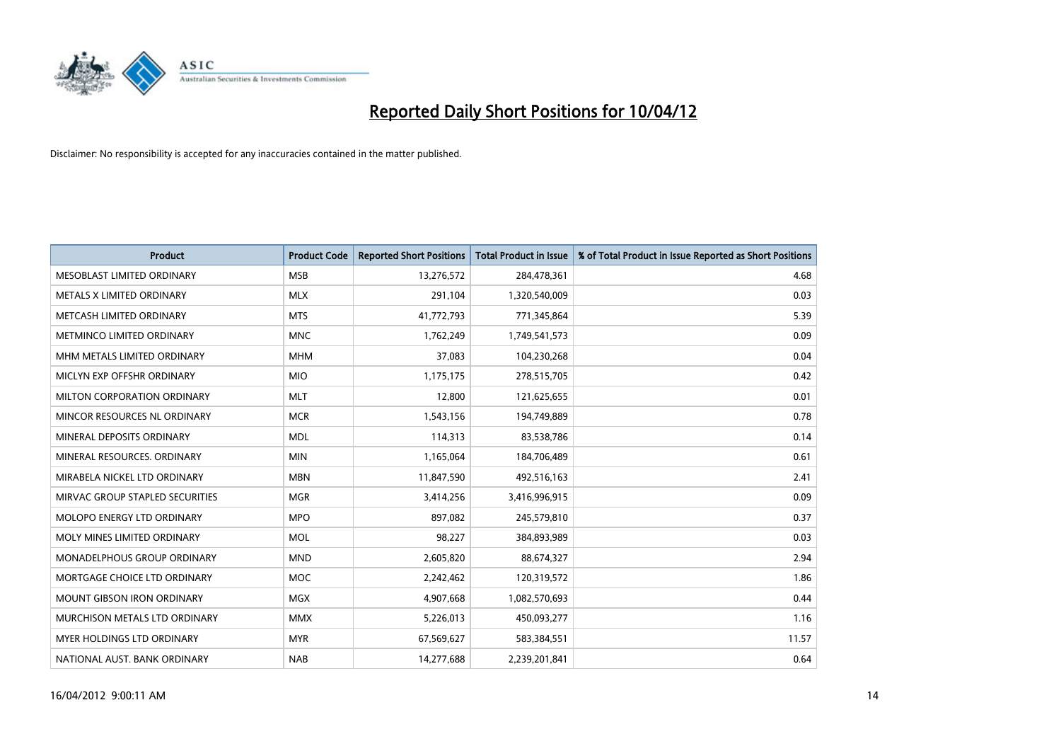

| <b>Product</b>                  | <b>Product Code</b> | <b>Reported Short Positions</b> | <b>Total Product in Issue</b> | % of Total Product in Issue Reported as Short Positions |
|---------------------------------|---------------------|---------------------------------|-------------------------------|---------------------------------------------------------|
| MESOBLAST LIMITED ORDINARY      | <b>MSB</b>          | 13,276,572                      | 284,478,361                   | 4.68                                                    |
| METALS X LIMITED ORDINARY       | <b>MLX</b>          | 291,104                         | 1,320,540,009                 | 0.03                                                    |
| METCASH LIMITED ORDINARY        | <b>MTS</b>          | 41,772,793                      | 771,345,864                   | 5.39                                                    |
| METMINCO LIMITED ORDINARY       | <b>MNC</b>          | 1,762,249                       | 1,749,541,573                 | 0.09                                                    |
| MHM METALS LIMITED ORDINARY     | <b>MHM</b>          | 37,083                          | 104,230,268                   | 0.04                                                    |
| MICLYN EXP OFFSHR ORDINARY      | <b>MIO</b>          | 1,175,175                       | 278,515,705                   | 0.42                                                    |
| MILTON CORPORATION ORDINARY     | <b>MLT</b>          | 12,800                          | 121,625,655                   | 0.01                                                    |
| MINCOR RESOURCES NL ORDINARY    | <b>MCR</b>          | 1,543,156                       | 194,749,889                   | 0.78                                                    |
| MINERAL DEPOSITS ORDINARY       | <b>MDL</b>          | 114,313                         | 83,538,786                    | 0.14                                                    |
| MINERAL RESOURCES, ORDINARY     | <b>MIN</b>          | 1,165,064                       | 184,706,489                   | 0.61                                                    |
| MIRABELA NICKEL LTD ORDINARY    | <b>MBN</b>          | 11,847,590                      | 492,516,163                   | 2.41                                                    |
| MIRVAC GROUP STAPLED SECURITIES | <b>MGR</b>          | 3,414,256                       | 3,416,996,915                 | 0.09                                                    |
| MOLOPO ENERGY LTD ORDINARY      | <b>MPO</b>          | 897,082                         | 245,579,810                   | 0.37                                                    |
| MOLY MINES LIMITED ORDINARY     | <b>MOL</b>          | 98,227                          | 384,893,989                   | 0.03                                                    |
| MONADELPHOUS GROUP ORDINARY     | <b>MND</b>          | 2,605,820                       | 88,674,327                    | 2.94                                                    |
| MORTGAGE CHOICE LTD ORDINARY    | <b>MOC</b>          | 2,242,462                       | 120,319,572                   | 1.86                                                    |
| MOUNT GIBSON IRON ORDINARY      | <b>MGX</b>          | 4,907,668                       | 1,082,570,693                 | 0.44                                                    |
| MURCHISON METALS LTD ORDINARY   | <b>MMX</b>          | 5,226,013                       | 450,093,277                   | 1.16                                                    |
| MYER HOLDINGS LTD ORDINARY      | <b>MYR</b>          | 67,569,627                      | 583,384,551                   | 11.57                                                   |
| NATIONAL AUST. BANK ORDINARY    | <b>NAB</b>          | 14,277,688                      | 2,239,201,841                 | 0.64                                                    |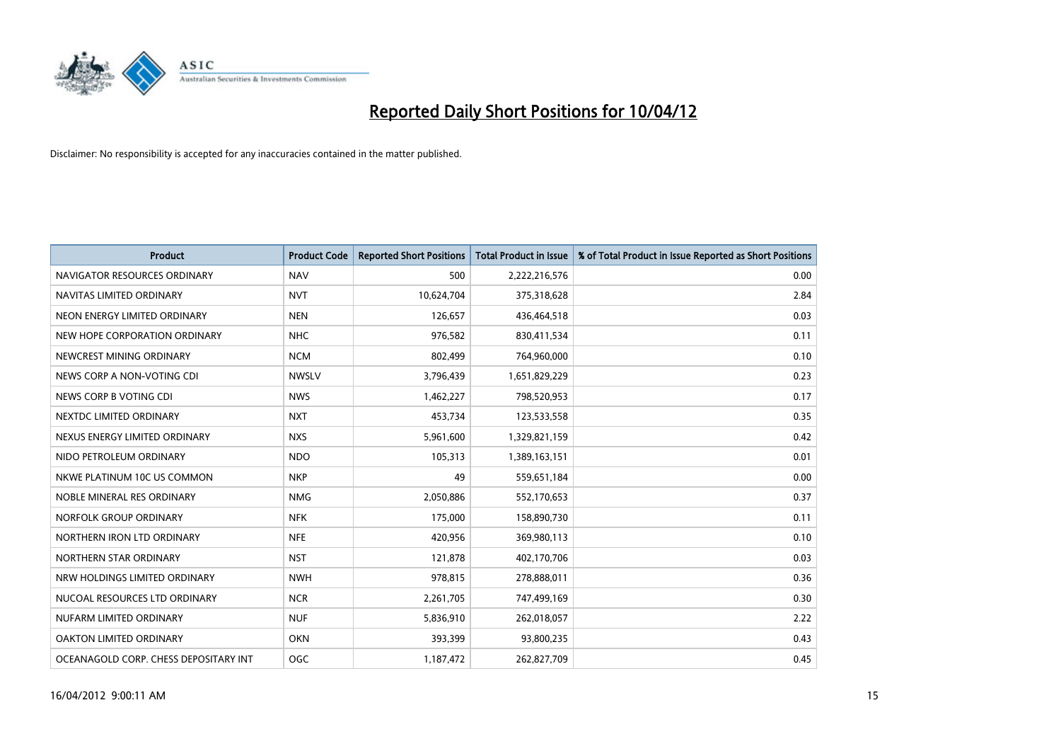

| <b>Product</b>                        | <b>Product Code</b> | <b>Reported Short Positions</b> | <b>Total Product in Issue</b> | % of Total Product in Issue Reported as Short Positions |
|---------------------------------------|---------------------|---------------------------------|-------------------------------|---------------------------------------------------------|
| NAVIGATOR RESOURCES ORDINARY          | <b>NAV</b>          | 500                             | 2,222,216,576                 | 0.00                                                    |
| NAVITAS LIMITED ORDINARY              | <b>NVT</b>          | 10,624,704                      | 375,318,628                   | 2.84                                                    |
| NEON ENERGY LIMITED ORDINARY          | <b>NEN</b>          | 126,657                         | 436,464,518                   | 0.03                                                    |
| NEW HOPE CORPORATION ORDINARY         | <b>NHC</b>          | 976,582                         | 830,411,534                   | 0.11                                                    |
| NEWCREST MINING ORDINARY              | <b>NCM</b>          | 802,499                         | 764,960,000                   | 0.10                                                    |
| NEWS CORP A NON-VOTING CDI            | <b>NWSLV</b>        | 3,796,439                       | 1,651,829,229                 | 0.23                                                    |
| NEWS CORP B VOTING CDI                | <b>NWS</b>          | 1,462,227                       | 798,520,953                   | 0.17                                                    |
| NEXTDC LIMITED ORDINARY               | <b>NXT</b>          | 453,734                         | 123,533,558                   | 0.35                                                    |
| NEXUS ENERGY LIMITED ORDINARY         | <b>NXS</b>          | 5,961,600                       | 1,329,821,159                 | 0.42                                                    |
| NIDO PETROLEUM ORDINARY               | <b>NDO</b>          | 105,313                         | 1,389,163,151                 | 0.01                                                    |
| NKWE PLATINUM 10C US COMMON           | <b>NKP</b>          | 49                              | 559,651,184                   | 0.00                                                    |
| NOBLE MINERAL RES ORDINARY            | <b>NMG</b>          | 2,050,886                       | 552,170,653                   | 0.37                                                    |
| NORFOLK GROUP ORDINARY                | <b>NFK</b>          | 175,000                         | 158,890,730                   | 0.11                                                    |
| NORTHERN IRON LTD ORDINARY            | <b>NFE</b>          | 420,956                         | 369,980,113                   | 0.10                                                    |
| NORTHERN STAR ORDINARY                | <b>NST</b>          | 121,878                         | 402,170,706                   | 0.03                                                    |
| NRW HOLDINGS LIMITED ORDINARY         | <b>NWH</b>          | 978,815                         | 278,888,011                   | 0.36                                                    |
| NUCOAL RESOURCES LTD ORDINARY         | <b>NCR</b>          | 2,261,705                       | 747,499,169                   | 0.30                                                    |
| NUFARM LIMITED ORDINARY               | <b>NUF</b>          | 5,836,910                       | 262,018,057                   | 2.22                                                    |
| OAKTON LIMITED ORDINARY               | <b>OKN</b>          | 393,399                         | 93,800,235                    | 0.43                                                    |
| OCEANAGOLD CORP. CHESS DEPOSITARY INT | <b>OGC</b>          | 1,187,472                       | 262,827,709                   | 0.45                                                    |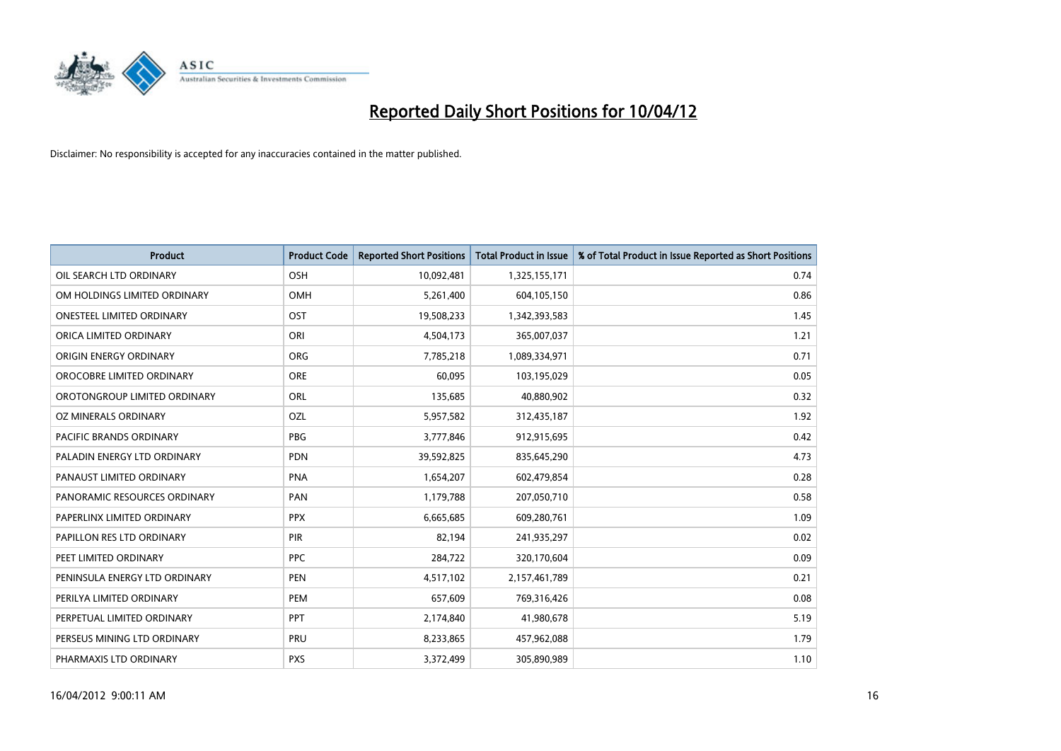

| <b>Product</b>                   | <b>Product Code</b> | <b>Reported Short Positions</b> | <b>Total Product in Issue</b> | % of Total Product in Issue Reported as Short Positions |
|----------------------------------|---------------------|---------------------------------|-------------------------------|---------------------------------------------------------|
| OIL SEARCH LTD ORDINARY          | OSH                 | 10,092,481                      | 1,325,155,171                 | 0.74                                                    |
| OM HOLDINGS LIMITED ORDINARY     | OMH                 | 5,261,400                       | 604,105,150                   | 0.86                                                    |
| <b>ONESTEEL LIMITED ORDINARY</b> | OST                 | 19,508,233                      | 1,342,393,583                 | 1.45                                                    |
| ORICA LIMITED ORDINARY           | ORI                 | 4,504,173                       | 365,007,037                   | 1.21                                                    |
| ORIGIN ENERGY ORDINARY           | <b>ORG</b>          | 7,785,218                       | 1,089,334,971                 | 0.71                                                    |
| OROCOBRE LIMITED ORDINARY        | <b>ORE</b>          | 60,095                          | 103,195,029                   | 0.05                                                    |
| OROTONGROUP LIMITED ORDINARY     | <b>ORL</b>          | 135,685                         | 40,880,902                    | 0.32                                                    |
| OZ MINERALS ORDINARY             | OZL                 | 5,957,582                       | 312,435,187                   | 1.92                                                    |
| <b>PACIFIC BRANDS ORDINARY</b>   | <b>PBG</b>          | 3,777,846                       | 912,915,695                   | 0.42                                                    |
| PALADIN ENERGY LTD ORDINARY      | <b>PDN</b>          | 39,592,825                      | 835,645,290                   | 4.73                                                    |
| PANAUST LIMITED ORDINARY         | <b>PNA</b>          | 1,654,207                       | 602,479,854                   | 0.28                                                    |
| PANORAMIC RESOURCES ORDINARY     | PAN                 | 1,179,788                       | 207,050,710                   | 0.58                                                    |
| PAPERLINX LIMITED ORDINARY       | <b>PPX</b>          | 6,665,685                       | 609,280,761                   | 1.09                                                    |
| PAPILLON RES LTD ORDINARY        | PIR                 | 82,194                          | 241,935,297                   | 0.02                                                    |
| PEET LIMITED ORDINARY            | <b>PPC</b>          | 284,722                         | 320,170,604                   | 0.09                                                    |
| PENINSULA ENERGY LTD ORDINARY    | <b>PEN</b>          | 4,517,102                       | 2,157,461,789                 | 0.21                                                    |
| PERILYA LIMITED ORDINARY         | PEM                 | 657,609                         | 769,316,426                   | 0.08                                                    |
| PERPETUAL LIMITED ORDINARY       | <b>PPT</b>          | 2,174,840                       | 41,980,678                    | 5.19                                                    |
| PERSEUS MINING LTD ORDINARY      | PRU                 | 8,233,865                       | 457,962,088                   | 1.79                                                    |
| PHARMAXIS LTD ORDINARY           | <b>PXS</b>          | 3,372,499                       | 305,890,989                   | 1.10                                                    |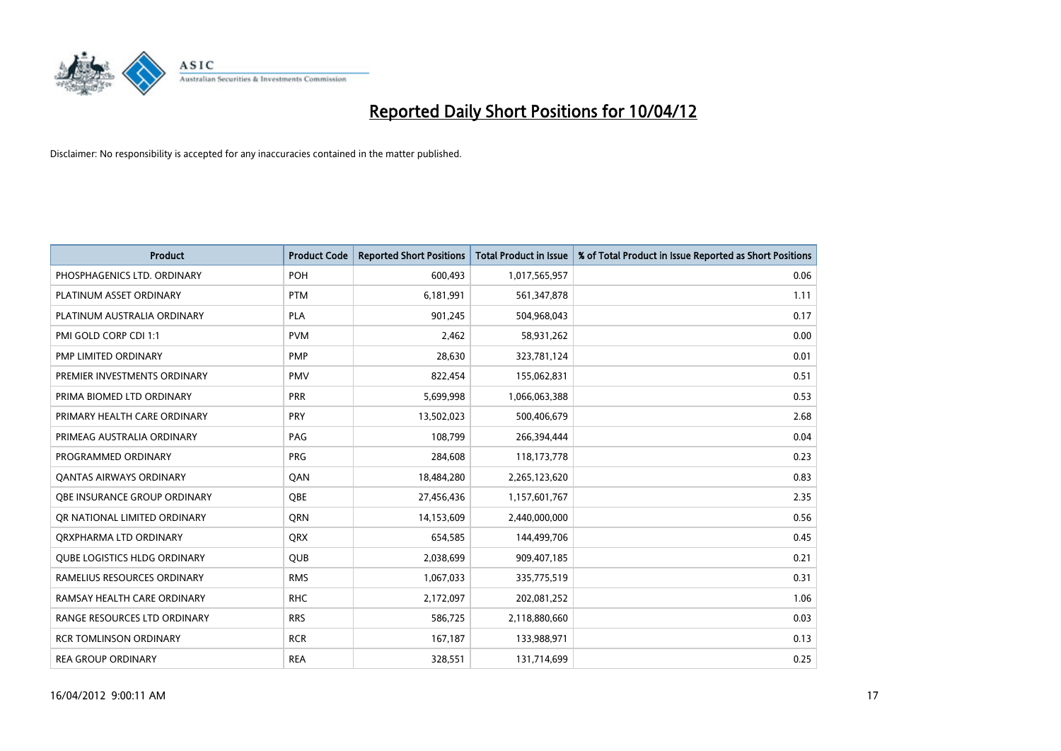

| <b>Product</b>                      | <b>Product Code</b> | <b>Reported Short Positions</b> | <b>Total Product in Issue</b> | % of Total Product in Issue Reported as Short Positions |
|-------------------------------------|---------------------|---------------------------------|-------------------------------|---------------------------------------------------------|
| PHOSPHAGENICS LTD. ORDINARY         | <b>POH</b>          | 600,493                         | 1,017,565,957                 | 0.06                                                    |
| PLATINUM ASSET ORDINARY             | <b>PTM</b>          | 6,181,991                       | 561,347,878                   | 1.11                                                    |
| PLATINUM AUSTRALIA ORDINARY         | <b>PLA</b>          | 901,245                         | 504,968,043                   | 0.17                                                    |
| PMI GOLD CORP CDI 1:1               | <b>PVM</b>          | 2,462                           | 58,931,262                    | 0.00                                                    |
| PMP LIMITED ORDINARY                | <b>PMP</b>          | 28,630                          | 323,781,124                   | 0.01                                                    |
| PREMIER INVESTMENTS ORDINARY        | <b>PMV</b>          | 822,454                         | 155,062,831                   | 0.51                                                    |
| PRIMA BIOMED LTD ORDINARY           | <b>PRR</b>          | 5,699,998                       | 1,066,063,388                 | 0.53                                                    |
| PRIMARY HEALTH CARE ORDINARY        | <b>PRY</b>          | 13,502,023                      | 500,406,679                   | 2.68                                                    |
| PRIMEAG AUSTRALIA ORDINARY          | PAG                 | 108,799                         | 266,394,444                   | 0.04                                                    |
| PROGRAMMED ORDINARY                 | PRG                 | 284,608                         | 118,173,778                   | 0.23                                                    |
| <b>QANTAS AIRWAYS ORDINARY</b>      | QAN                 | 18,484,280                      | 2,265,123,620                 | 0.83                                                    |
| OBE INSURANCE GROUP ORDINARY        | <b>OBE</b>          | 27,456,436                      | 1,157,601,767                 | 2.35                                                    |
| OR NATIONAL LIMITED ORDINARY        | QRN                 | 14,153,609                      | 2,440,000,000                 | 0.56                                                    |
| ORXPHARMA LTD ORDINARY              | QRX                 | 654,585                         | 144,499,706                   | 0.45                                                    |
| <b>QUBE LOGISTICS HLDG ORDINARY</b> | <b>QUB</b>          | 2,038,699                       | 909,407,185                   | 0.21                                                    |
| RAMELIUS RESOURCES ORDINARY         | <b>RMS</b>          | 1,067,033                       | 335,775,519                   | 0.31                                                    |
| RAMSAY HEALTH CARE ORDINARY         | <b>RHC</b>          | 2,172,097                       | 202,081,252                   | 1.06                                                    |
| RANGE RESOURCES LTD ORDINARY        | <b>RRS</b>          | 586,725                         | 2,118,880,660                 | 0.03                                                    |
| <b>RCR TOMLINSON ORDINARY</b>       | <b>RCR</b>          | 167,187                         | 133,988,971                   | 0.13                                                    |
| <b>REA GROUP ORDINARY</b>           | <b>REA</b>          | 328,551                         | 131,714,699                   | 0.25                                                    |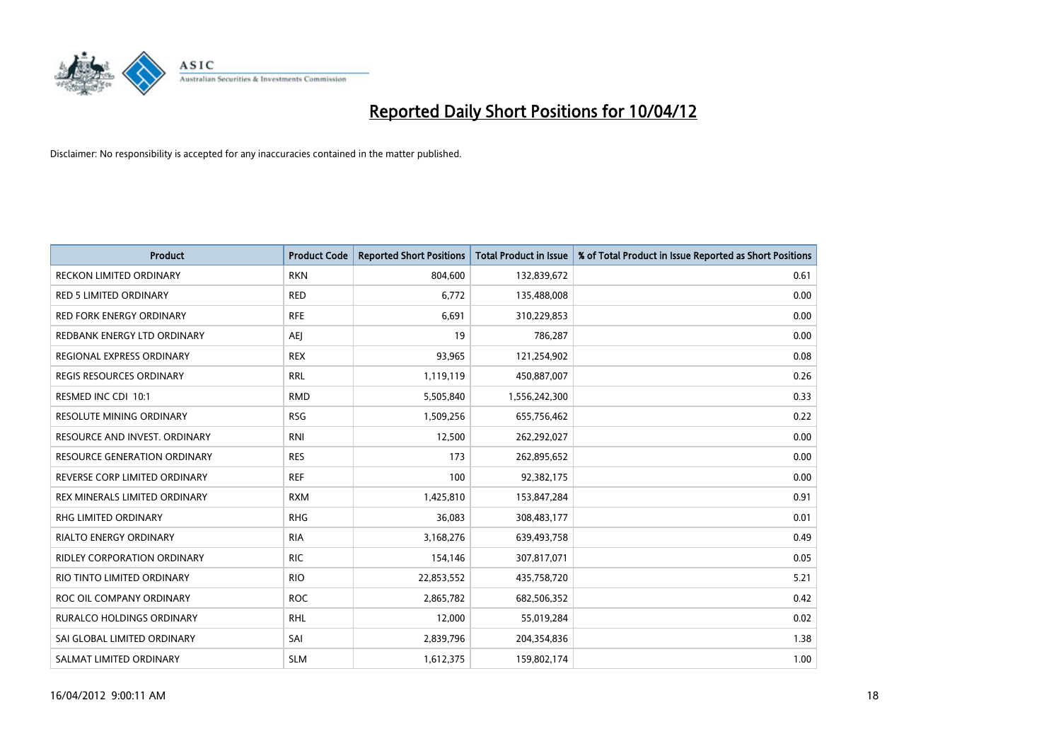

| <b>Product</b>                      | <b>Product Code</b> | <b>Reported Short Positions</b> | <b>Total Product in Issue</b> | % of Total Product in Issue Reported as Short Positions |
|-------------------------------------|---------------------|---------------------------------|-------------------------------|---------------------------------------------------------|
| <b>RECKON LIMITED ORDINARY</b>      | <b>RKN</b>          | 804,600                         | 132,839,672                   | 0.61                                                    |
| <b>RED 5 LIMITED ORDINARY</b>       | <b>RED</b>          | 6,772                           | 135,488,008                   | 0.00                                                    |
| <b>RED FORK ENERGY ORDINARY</b>     | <b>RFE</b>          | 6,691                           | 310,229,853                   | 0.00                                                    |
| REDBANK ENERGY LTD ORDINARY         | AEJ                 | 19                              | 786,287                       | 0.00                                                    |
| REGIONAL EXPRESS ORDINARY           | <b>REX</b>          | 93,965                          | 121,254,902                   | 0.08                                                    |
| <b>REGIS RESOURCES ORDINARY</b>     | <b>RRL</b>          | 1,119,119                       | 450,887,007                   | 0.26                                                    |
| RESMED INC CDI 10:1                 | <b>RMD</b>          | 5,505,840                       | 1,556,242,300                 | 0.33                                                    |
| RESOLUTE MINING ORDINARY            | <b>RSG</b>          | 1,509,256                       | 655,756,462                   | 0.22                                                    |
| RESOURCE AND INVEST. ORDINARY       | <b>RNI</b>          | 12,500                          | 262,292,027                   | 0.00                                                    |
| <b>RESOURCE GENERATION ORDINARY</b> | <b>RES</b>          | 173                             | 262,895,652                   | 0.00                                                    |
| REVERSE CORP LIMITED ORDINARY       | <b>REF</b>          | 100                             | 92,382,175                    | 0.00                                                    |
| REX MINERALS LIMITED ORDINARY       | <b>RXM</b>          | 1,425,810                       | 153,847,284                   | 0.91                                                    |
| RHG LIMITED ORDINARY                | <b>RHG</b>          | 36,083                          | 308,483,177                   | 0.01                                                    |
| <b>RIALTO ENERGY ORDINARY</b>       | <b>RIA</b>          | 3,168,276                       | 639,493,758                   | 0.49                                                    |
| <b>RIDLEY CORPORATION ORDINARY</b>  | <b>RIC</b>          | 154,146                         | 307,817,071                   | 0.05                                                    |
| RIO TINTO LIMITED ORDINARY          | <b>RIO</b>          | 22,853,552                      | 435,758,720                   | 5.21                                                    |
| ROC OIL COMPANY ORDINARY            | <b>ROC</b>          | 2,865,782                       | 682,506,352                   | 0.42                                                    |
| RURALCO HOLDINGS ORDINARY           | <b>RHL</b>          | 12,000                          | 55,019,284                    | 0.02                                                    |
| SAI GLOBAL LIMITED ORDINARY         | SAI                 | 2,839,796                       | 204,354,836                   | 1.38                                                    |
| SALMAT LIMITED ORDINARY             | <b>SLM</b>          | 1,612,375                       | 159,802,174                   | 1.00                                                    |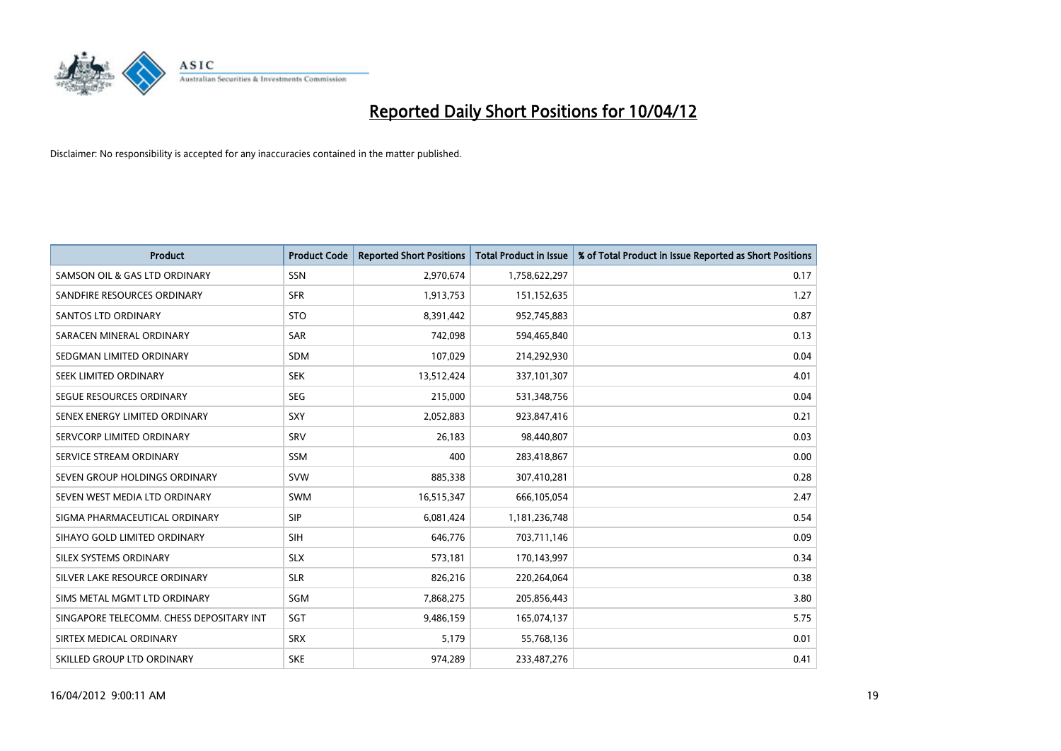

| <b>Product</b>                           | <b>Product Code</b> | <b>Reported Short Positions</b> | <b>Total Product in Issue</b> | % of Total Product in Issue Reported as Short Positions |
|------------------------------------------|---------------------|---------------------------------|-------------------------------|---------------------------------------------------------|
| SAMSON OIL & GAS LTD ORDINARY            | <b>SSN</b>          | 2,970,674                       | 1,758,622,297                 | 0.17                                                    |
| SANDFIRE RESOURCES ORDINARY              | <b>SFR</b>          | 1,913,753                       | 151, 152, 635                 | 1.27                                                    |
| SANTOS LTD ORDINARY                      | <b>STO</b>          | 8,391,442                       | 952,745,883                   | 0.87                                                    |
| SARACEN MINERAL ORDINARY                 | <b>SAR</b>          | 742,098                         | 594,465,840                   | 0.13                                                    |
| SEDGMAN LIMITED ORDINARY                 | <b>SDM</b>          | 107,029                         | 214,292,930                   | 0.04                                                    |
| SEEK LIMITED ORDINARY                    | <b>SEK</b>          | 13,512,424                      | 337,101,307                   | 4.01                                                    |
| SEGUE RESOURCES ORDINARY                 | <b>SEG</b>          | 215,000                         | 531,348,756                   | 0.04                                                    |
| SENEX ENERGY LIMITED ORDINARY            | <b>SXY</b>          | 2,052,883                       | 923,847,416                   | 0.21                                                    |
| SERVCORP LIMITED ORDINARY                | SRV                 | 26,183                          | 98,440,807                    | 0.03                                                    |
| SERVICE STREAM ORDINARY                  | <b>SSM</b>          | 400                             | 283,418,867                   | 0.00                                                    |
| SEVEN GROUP HOLDINGS ORDINARY            | <b>SVW</b>          | 885,338                         | 307,410,281                   | 0.28                                                    |
| SEVEN WEST MEDIA LTD ORDINARY            | SWM                 | 16,515,347                      | 666,105,054                   | 2.47                                                    |
| SIGMA PHARMACEUTICAL ORDINARY            | <b>SIP</b>          | 6,081,424                       | 1,181,236,748                 | 0.54                                                    |
| SIHAYO GOLD LIMITED ORDINARY             | SIH                 | 646,776                         | 703,711,146                   | 0.09                                                    |
| SILEX SYSTEMS ORDINARY                   | <b>SLX</b>          | 573,181                         | 170,143,997                   | 0.34                                                    |
| SILVER LAKE RESOURCE ORDINARY            | <b>SLR</b>          | 826,216                         | 220,264,064                   | 0.38                                                    |
| SIMS METAL MGMT LTD ORDINARY             | SGM                 | 7,868,275                       | 205,856,443                   | 3.80                                                    |
| SINGAPORE TELECOMM. CHESS DEPOSITARY INT | SGT                 | 9,486,159                       | 165,074,137                   | 5.75                                                    |
| SIRTEX MEDICAL ORDINARY                  | <b>SRX</b>          | 5,179                           | 55,768,136                    | 0.01                                                    |
| SKILLED GROUP LTD ORDINARY               | <b>SKE</b>          | 974,289                         | 233,487,276                   | 0.41                                                    |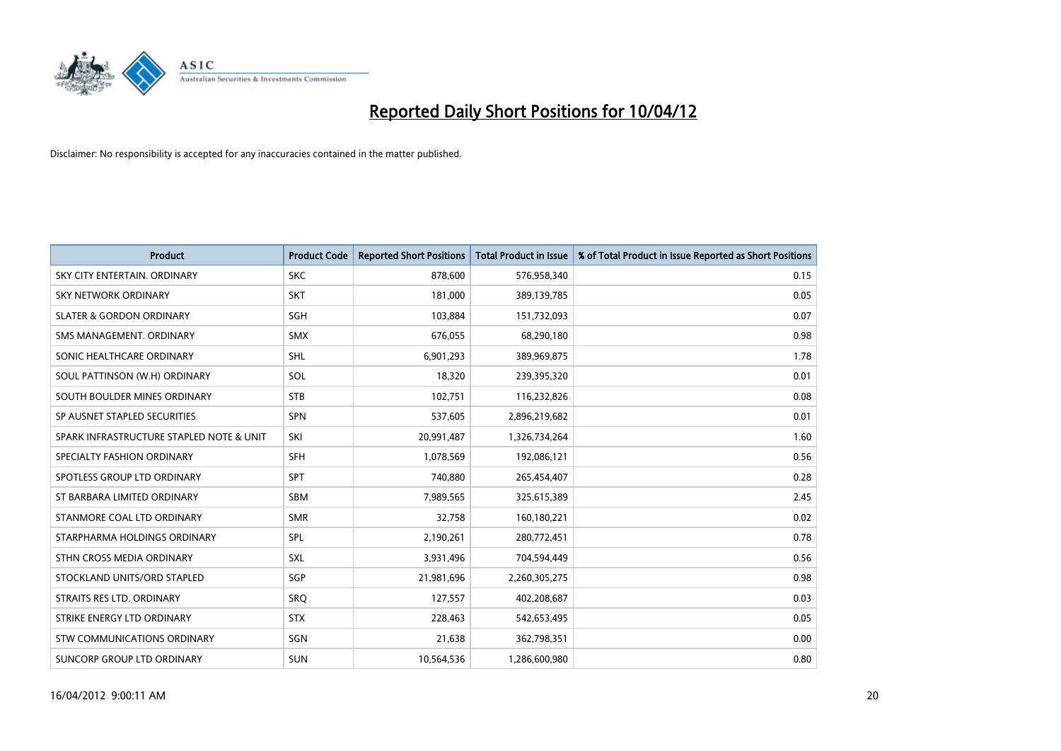

| <b>Product</b>                           | <b>Product Code</b> | <b>Reported Short Positions</b> | <b>Total Product in Issue</b> | % of Total Product in Issue Reported as Short Positions |
|------------------------------------------|---------------------|---------------------------------|-------------------------------|---------------------------------------------------------|
| SKY CITY ENTERTAIN, ORDINARY             | <b>SKC</b>          | 878,600                         | 576,958,340                   | 0.15                                                    |
| <b>SKY NETWORK ORDINARY</b>              | <b>SKT</b>          | 181,000                         | 389,139,785                   | 0.05                                                    |
| <b>SLATER &amp; GORDON ORDINARY</b>      | SGH                 | 103,884                         | 151,732,093                   | 0.07                                                    |
| SMS MANAGEMENT. ORDINARY                 | <b>SMX</b>          | 676,055                         | 68,290,180                    | 0.98                                                    |
| SONIC HEALTHCARE ORDINARY                | <b>SHL</b>          | 6,901,293                       | 389,969,875                   | 1.78                                                    |
| SOUL PATTINSON (W.H) ORDINARY            | <b>SOL</b>          | 18,320                          | 239,395,320                   | 0.01                                                    |
| SOUTH BOULDER MINES ORDINARY             | <b>STB</b>          | 102,751                         | 116,232,826                   | 0.08                                                    |
| SP AUSNET STAPLED SECURITIES             | SPN                 | 537,605                         | 2,896,219,682                 | 0.01                                                    |
| SPARK INFRASTRUCTURE STAPLED NOTE & UNIT | SKI                 | 20,991,487                      | 1,326,734,264                 | 1.60                                                    |
| SPECIALTY FASHION ORDINARY               | <b>SFH</b>          | 1,078,569                       | 192,086,121                   | 0.56                                                    |
| SPOTLESS GROUP LTD ORDINARY              | SPT                 | 740,880                         | 265,454,407                   | 0.28                                                    |
| ST BARBARA LIMITED ORDINARY              | <b>SBM</b>          | 7,989,565                       | 325,615,389                   | 2.45                                                    |
| STANMORE COAL LTD ORDINARY               | <b>SMR</b>          | 32,758                          | 160,180,221                   | 0.02                                                    |
| STARPHARMA HOLDINGS ORDINARY             | <b>SPL</b>          | 2,190,261                       | 280,772,451                   | 0.78                                                    |
| STHN CROSS MEDIA ORDINARY                | <b>SXL</b>          | 3,931,496                       | 704,594,449                   | 0.56                                                    |
| STOCKLAND UNITS/ORD STAPLED              | SGP                 | 21,981,696                      | 2,260,305,275                 | 0.98                                                    |
| STRAITS RES LTD. ORDINARY                | <b>SRQ</b>          | 127,557                         | 402,208,687                   | 0.03                                                    |
| STRIKE ENERGY LTD ORDINARY               | <b>STX</b>          | 228,463                         | 542,653,495                   | 0.05                                                    |
| STW COMMUNICATIONS ORDINARY              | SGN                 | 21,638                          | 362,798,351                   | 0.00                                                    |
| SUNCORP GROUP LTD ORDINARY               | <b>SUN</b>          | 10,564,536                      | 1,286,600,980                 | 0.80                                                    |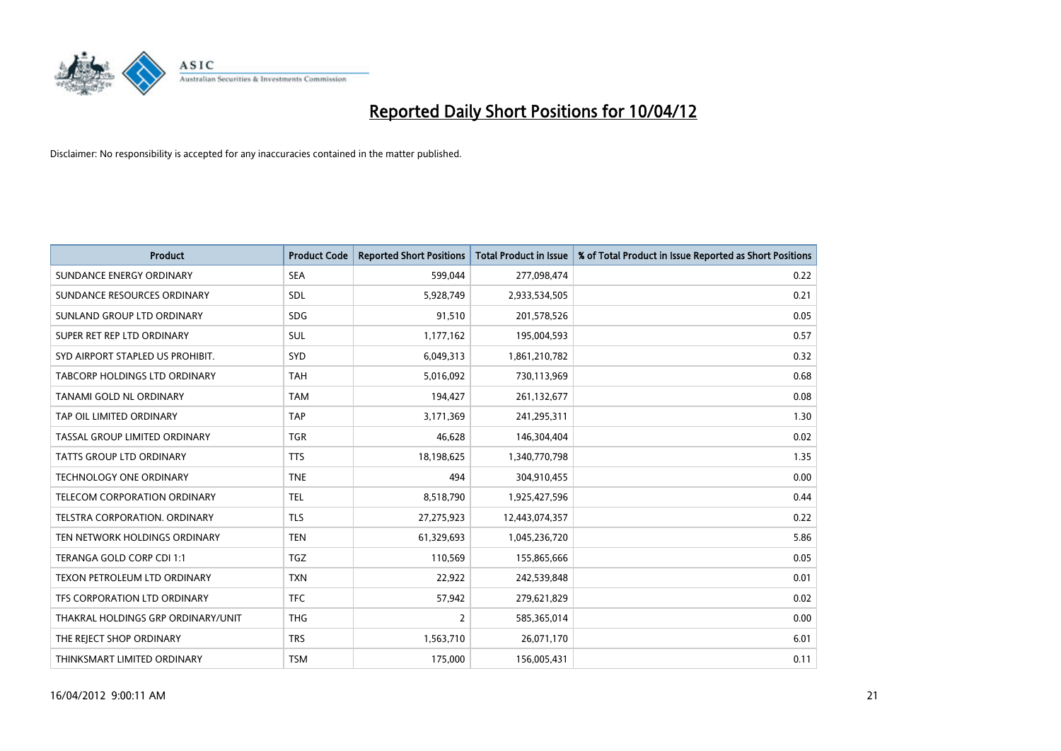

| <b>Product</b>                     | <b>Product Code</b> | <b>Reported Short Positions</b> | <b>Total Product in Issue</b> | % of Total Product in Issue Reported as Short Positions |
|------------------------------------|---------------------|---------------------------------|-------------------------------|---------------------------------------------------------|
| SUNDANCE ENERGY ORDINARY           | <b>SEA</b>          | 599,044                         | 277,098,474                   | 0.22                                                    |
| SUNDANCE RESOURCES ORDINARY        | <b>SDL</b>          | 5,928,749                       | 2,933,534,505                 | 0.21                                                    |
| SUNLAND GROUP LTD ORDINARY         | <b>SDG</b>          | 91,510                          | 201,578,526                   | 0.05                                                    |
| SUPER RET REP LTD ORDINARY         | <b>SUL</b>          | 1,177,162                       | 195,004,593                   | 0.57                                                    |
| SYD AIRPORT STAPLED US PROHIBIT.   | SYD                 | 6,049,313                       | 1,861,210,782                 | 0.32                                                    |
| TABCORP HOLDINGS LTD ORDINARY      | TAH                 | 5,016,092                       | 730,113,969                   | 0.68                                                    |
| TANAMI GOLD NL ORDINARY            | <b>TAM</b>          | 194,427                         | 261,132,677                   | 0.08                                                    |
| TAP OIL LIMITED ORDINARY           | <b>TAP</b>          | 3,171,369                       | 241,295,311                   | 1.30                                                    |
| TASSAL GROUP LIMITED ORDINARY      | <b>TGR</b>          | 46,628                          | 146,304,404                   | 0.02                                                    |
| <b>TATTS GROUP LTD ORDINARY</b>    | <b>TTS</b>          | 18,198,625                      | 1,340,770,798                 | 1.35                                                    |
| <b>TECHNOLOGY ONE ORDINARY</b>     | <b>TNE</b>          | 494                             | 304,910,455                   | 0.00                                                    |
| TELECOM CORPORATION ORDINARY       | <b>TEL</b>          | 8,518,790                       | 1,925,427,596                 | 0.44                                                    |
| TELSTRA CORPORATION, ORDINARY      | <b>TLS</b>          | 27,275,923                      | 12,443,074,357                | 0.22                                                    |
| TEN NETWORK HOLDINGS ORDINARY      | <b>TEN</b>          | 61,329,693                      | 1,045,236,720                 | 5.86                                                    |
| TERANGA GOLD CORP CDI 1:1          | <b>TGZ</b>          | 110,569                         | 155,865,666                   | 0.05                                                    |
| TEXON PETROLEUM LTD ORDINARY       | <b>TXN</b>          | 22,922                          | 242,539,848                   | 0.01                                                    |
| TFS CORPORATION LTD ORDINARY       | <b>TFC</b>          | 57,942                          | 279,621,829                   | 0.02                                                    |
| THAKRAL HOLDINGS GRP ORDINARY/UNIT | <b>THG</b>          | $\overline{2}$                  | 585,365,014                   | 0.00                                                    |
| THE REJECT SHOP ORDINARY           | <b>TRS</b>          | 1,563,710                       | 26,071,170                    | 6.01                                                    |
| THINKSMART LIMITED ORDINARY        | <b>TSM</b>          | 175,000                         | 156,005,431                   | 0.11                                                    |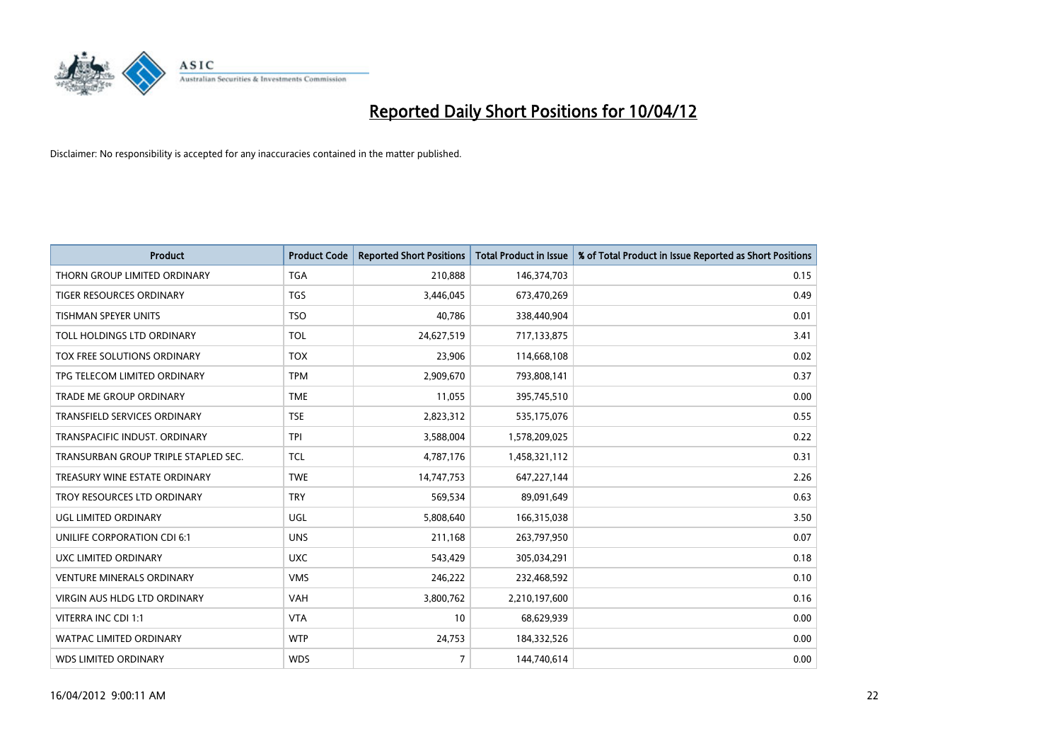

| <b>Product</b>                       | <b>Product Code</b> | <b>Reported Short Positions</b> | <b>Total Product in Issue</b> | % of Total Product in Issue Reported as Short Positions |
|--------------------------------------|---------------------|---------------------------------|-------------------------------|---------------------------------------------------------|
| THORN GROUP LIMITED ORDINARY         | <b>TGA</b>          | 210,888                         | 146,374,703                   | 0.15                                                    |
| <b>TIGER RESOURCES ORDINARY</b>      | <b>TGS</b>          | 3,446,045                       | 673,470,269                   | 0.49                                                    |
| TISHMAN SPEYER UNITS                 | <b>TSO</b>          | 40,786                          | 338,440,904                   | 0.01                                                    |
| TOLL HOLDINGS LTD ORDINARY           | <b>TOL</b>          | 24,627,519                      | 717,133,875                   | 3.41                                                    |
| TOX FREE SOLUTIONS ORDINARY          | <b>TOX</b>          | 23,906                          | 114,668,108                   | 0.02                                                    |
| TPG TELECOM LIMITED ORDINARY         | <b>TPM</b>          | 2,909,670                       | 793,808,141                   | 0.37                                                    |
| <b>TRADE ME GROUP ORDINARY</b>       | <b>TME</b>          | 11,055                          | 395,745,510                   | 0.00                                                    |
| TRANSFIELD SERVICES ORDINARY         | <b>TSE</b>          | 2,823,312                       | 535,175,076                   | 0.55                                                    |
| TRANSPACIFIC INDUST. ORDINARY        | <b>TPI</b>          | 3,588,004                       | 1,578,209,025                 | 0.22                                                    |
| TRANSURBAN GROUP TRIPLE STAPLED SEC. | <b>TCL</b>          | 4,787,176                       | 1,458,321,112                 | 0.31                                                    |
| TREASURY WINE ESTATE ORDINARY        | <b>TWE</b>          | 14,747,753                      | 647,227,144                   | 2.26                                                    |
| TROY RESOURCES LTD ORDINARY          | <b>TRY</b>          | 569,534                         | 89,091,649                    | 0.63                                                    |
| UGL LIMITED ORDINARY                 | UGL                 | 5,808,640                       | 166,315,038                   | 3.50                                                    |
| UNILIFE CORPORATION CDI 6:1          | <b>UNS</b>          | 211,168                         | 263,797,950                   | 0.07                                                    |
| UXC LIMITED ORDINARY                 | <b>UXC</b>          | 543,429                         | 305,034,291                   | 0.18                                                    |
| <b>VENTURE MINERALS ORDINARY</b>     | <b>VMS</b>          | 246,222                         | 232,468,592                   | 0.10                                                    |
| VIRGIN AUS HLDG LTD ORDINARY         | <b>VAH</b>          | 3,800,762                       | 2,210,197,600                 | 0.16                                                    |
| VITERRA INC CDI 1:1                  | <b>VTA</b>          | 10                              | 68,629,939                    | 0.00                                                    |
| <b>WATPAC LIMITED ORDINARY</b>       | <b>WTP</b>          | 24,753                          | 184,332,526                   | 0.00                                                    |
| <b>WDS LIMITED ORDINARY</b>          | <b>WDS</b>          | $\overline{7}$                  | 144,740,614                   | 0.00                                                    |